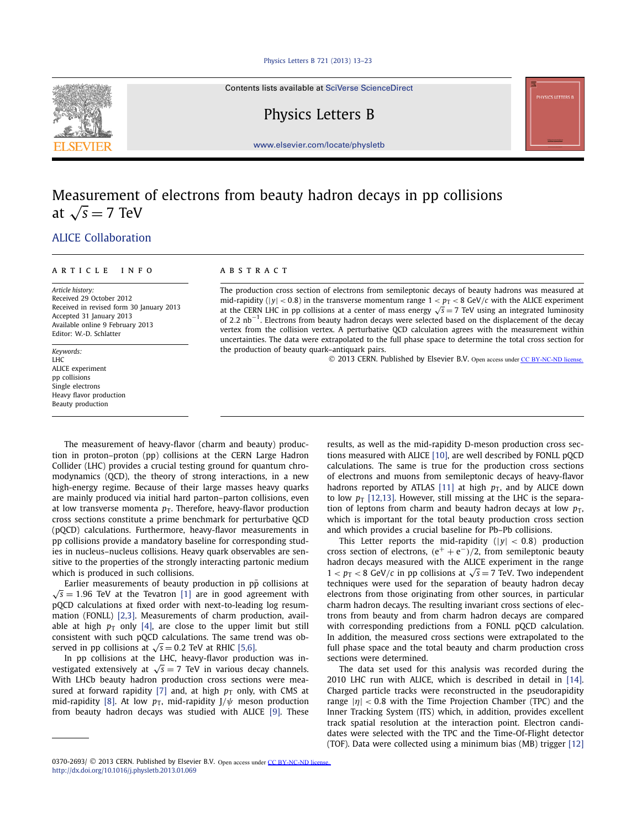#### [Physics Letters B 721 \(2013\) 13–23](http://dx.doi.org/10.1016/j.physletb.2013.01.069)

Contents lists available at [SciVerse ScienceDirect](http://www.ScienceDirect.com/)

Physics Letters B

[www.elsevier.com/locate/physletb](http://www.elsevier.com/locate/physletb)

# Measurement of electrons from beauty hadron decays in pp collisions at  $\sqrt{s}$  = 7 TeV

## [.ALICE Collaboration](#page-5-0)

#### article info abstract

*Article history:* Received 29 October 2012 Received in revised form 30 January 2013 Accepted 31 January 2013 Available online 9 February 2013 Editor: W.-D. Schlatter

*Keywords:* LHC ALICE experiment pp collisions Single electrons Heavy flavor production Beauty production

The production cross section of electrons from semileptonic decays of beauty hadrons was measured at mid-rapidity ( $|y| < 0.8$ ) in the transverse momentum range  $1 < p_T < 8$  GeV/*c* with the ALICE experiment at the CERN LHC in pp collisions at a center of mass energy  $\sqrt{s}$  = 7 TeV using an integrated luminosity of 2*.*2 nb<sup>−</sup>1. Electrons from beauty hadron decays were selected based on the displacement of the decay vertex from the collision vertex. A perturbative QCD calculation agrees with the measurement within uncertainties. The data were extrapolated to the full phase space to determine the total cross section for the production of beauty quark–antiquark pairs.

© 2013 CERN. Published by Elsevier B.V. Open access under [CC BY-NC-ND license.](http://creativecommons.org/licenses/by-nc-nd/4.0/)

The measurement of heavy-flavor (charm and beauty) production in proton–proton (pp) collisions at the CERN Large Hadron Collider (LHC) provides a crucial testing ground for quantum chromodynamics (QCD), the theory of strong interactions, in a new high-energy regime. Because of their large masses heavy quarks are mainly produced via initial hard parton–parton collisions, even at low transverse momenta  $p<sub>T</sub>$ . Therefore, heavy-flavor production cross sections constitute a prime benchmark for perturbative QCD (pQCD) calculations. Furthermore, heavy-flavor measurements in pp collisions provide a mandatory baseline for corresponding studies in nucleus–nucleus collisions. Heavy quark observables are sensitive to the properties of the strongly interacting partonic medium which is produced in such collisions.

Earlier measurements of beauty production in pp collisions at  $\sqrt{s} = 1.96$  TeV at the Tevatron [\[1\]](#page-5-0) are in good agreement with pQCD calculations at fixed order with next-to-leading log resummation (FONLL) [\[2,3\].](#page-5-0) Measurements of charm production, available at high  $p_T$  only [\[4\],](#page-5-0) are close to the upper limit but still consistent with such pQCD calculations. The same trend was observed in pp collisions at  $\sqrt{s} = 0.2$  TeV at RHIC [\[5,6\].](#page-5-0)

In pp collisions at the LHC, heavy-flavor production was investigated extensively at  $\sqrt{s} = 7$  TeV in various decay channels. With LHCb beauty hadron production cross sections were mea-sured at forward rapidity [\[7\]](#page-5-0) and, at high  $p_T$  only, with CMS at mid-rapidity [\[8\].](#page-5-0) At low  $p<sub>T</sub>$ , mid-rapidity J/ $\psi$  meson production from beauty hadron decays was studied with ALICE [\[9\].](#page-5-0) These results, as well as the mid-rapidity D-meson production cross sections measured with ALICE [\[10\],](#page-5-0) are well described by FONLL pQCD calculations. The same is true for the production cross sections of electrons and muons from semileptonic decays of heavy-flavor hadrons reported by ATLAS [\[11\]](#page-5-0) at high  $p<sub>T</sub>$ , and by ALICE down to low  $p_T$  [\[12,13\].](#page-5-0) However, still missing at the LHC is the separation of leptons from charm and beauty hadron decays at low  $p_T$ , which is important for the total beauty production cross section and which provides a crucial baseline for Pb–Pb collisions.

This Letter reports the mid-rapidity  $(|y| < 0.8)$  production cross section of electrons,  $(e^+ + e^-)/2$ , from semileptonic beauty hadron decays measured with the ALICE experiment in the range  $1 < p_T < 8$  GeV/*c* in pp collisions at  $\sqrt{s} = 7$  TeV. Two independent techniques were used for the separation of beauty hadron decay electrons from those originating from other sources, in particular charm hadron decays. The resulting invariant cross sections of electrons from beauty and from charm hadron decays are compared with corresponding predictions from a FONLL pQCD calculation. In addition, the measured cross sections were extrapolated to the full phase space and the total beauty and charm production cross sections were determined.

The data set used for this analysis was recorded during the 2010 LHC run with ALICE, which is described in detail in [\[14\].](#page-5-0) Charged particle tracks were reconstructed in the pseudorapidity range |*η*| *<* <sup>0</sup>*.*8 with the Time Projection Chamber (TPC) and the Inner Tracking System (ITS) which, in addition, provides excellent track spatial resolution at the interaction point. Electron candidates were selected with the TPC and the Time-Of-Flight detector (TOF). Data were collected using a minimum bias (MB) trigger [\[12\]](#page-5-0)



<sup>0370-2693/ © 2013</sup> CERN. Published by Elsevier B.V. Open access under [CC BY-NC-ND license.](http://creativecommons.org/licenses/by-nc-nd/4.0/) <http://dx.doi.org/10.1016/j.physletb.2013.01.069>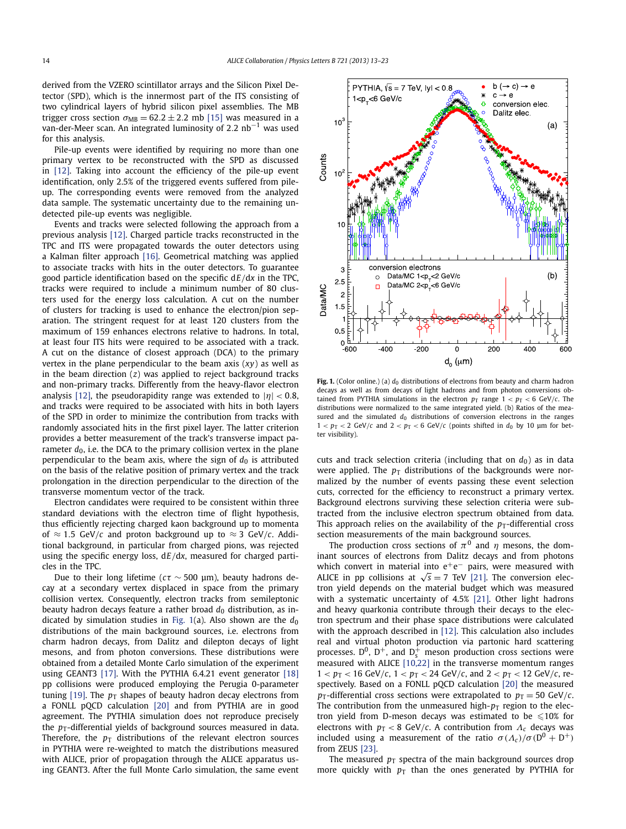<span id="page-1-0"></span>derived from the VZERO scintillator arrays and the Silicon Pixel Detector (SPD), which is the innermost part of the ITS consisting of two cylindrical layers of hybrid silicon pixel assemblies. The MB trigger cross section  $\sigma_{MB} = 62.2 \pm 2.2$  mb [\[15\]](#page-5-0) was measured in a van-der-Meer scan. An integrated luminosity of 2*.*2 nb−<sup>1</sup> was used for this analysis.

Pile-up events were identified by requiring no more than one primary vertex to be reconstructed with the SPD as discussed in [\[12\].](#page-5-0) Taking into account the efficiency of the pile-up event identification, only 2.5% of the triggered events suffered from pileup. The corresponding events were removed from the analyzed data sample. The systematic uncertainty due to the remaining undetected pile-up events was negligible.

Events and tracks were selected following the approach from a previous analysis [\[12\].](#page-5-0) Charged particle tracks reconstructed in the TPC and ITS were propagated towards the outer detectors using a Kalman filter approach [\[16\].](#page-5-0) Geometrical matching was applied to associate tracks with hits in the outer detectors. To guarantee good particle identification based on the specific d*E/*d*x* in the TPC, tracks were required to include a minimum number of 80 clusters used for the energy loss calculation. A cut on the number of clusters for tracking is used to enhance the electron/pion separation. The stringent request for at least 120 clusters from the maximum of 159 enhances electrons relative to hadrons. In total, at least four ITS hits were required to be associated with a track. A cut on the distance of closest approach (DCA) to the primary vertex in the plane perpendicular to the beam axis (*xy*) as well as in the beam direction (*z*) was applied to reject background tracks and non-primary tracks. Differently from the heavy-flavor electron analysis [\[12\],](#page-5-0) the pseudorapidity range was extended to  $|\eta|$  < 0.8, and tracks were required to be associated with hits in both layers of the SPD in order to minimize the contribution from tracks with randomly associated hits in the first pixel layer. The latter criterion provides a better measurement of the track's transverse impact parameter  $d_0$ , i.e. the DCA to the primary collision vertex in the plane perpendicular to the beam axis, where the sign of  $d_0$  is attributed on the basis of the relative position of primary vertex and the track prolongation in the direction perpendicular to the direction of the transverse momentum vector of the track.

Electron candidates were required to be consistent within three standard deviations with the electron time of flight hypothesis, thus efficiently rejecting charged kaon background up to momenta of  $\approx$  1.5 GeV/*c* and proton background up to  $\approx$  3 GeV/*c*. Additional background, in particular from charged pions, was rejected using the specific energy loss, d*E/*d*x*, measured for charged particles in the TPC.

Due to their long lifetime ( $c\tau \sim 500$  µm), beauty hadrons decay at a secondary vertex displaced in space from the primary collision vertex. Consequently, electron tracks from semileptonic beauty hadron decays feature a rather broad  $d_0$  distribution, as indicated by simulation studies in Fig. 1(a). Also shown are the  $d_0$ distributions of the main background sources, i.e. electrons from charm hadron decays, from Dalitz and dilepton decays of light mesons, and from photon conversions. These distributions were obtained from a detailed Monte Carlo simulation of the experiment using GEANT3 [\[17\].](#page-5-0) With the PYTHIA 6.4.21 event generator [\[18\]](#page-5-0) pp collisions were produced employing the Perugia 0-parameter tuning [\[19\].](#page-5-0) The  $p_T$  shapes of beauty hadron decay electrons from a FONLL pQCD calculation [\[20\]](#page-5-0) and from PYTHIA are in good agreement. The PYTHIA simulation does not reproduce precisely the  $p_T$ -differential yields of background sources measured in data. Therefore, the  $p_T$  distributions of the relevant electron sources in PYTHIA were re-weighted to match the distributions measured with ALICE, prior of propagation through the ALICE apparatus using GEANT3. After the full Monte Carlo simulation, the same event



Fig. 1. (Color online.) (a)  $d_0$  distributions of electrons from beauty and charm hadron decays as well as from decays of light hadrons and from photon conversions obtained from PYTHIA simulations in the electron  $p_T$  range  $1 < p_T < 6$  GeV/*c*. The distributions were normalized to the same integrated yield. (b) Ratios of the measured and the simulated  $d_0$  distributions of conversion electrons in the ranges  $1 < p_T < 2$  GeV/*c* and  $2 < p_T < 6$  GeV/*c* (points shifted in  $d_0$  by 10 µm for better visibility).

cuts and track selection criteria (including that on  $d_0$ ) as in data were applied. The  $p<sub>T</sub>$  distributions of the backgrounds were normalized by the number of events passing these event selection cuts, corrected for the efficiency to reconstruct a primary vertex. Background electrons surviving these selection criteria were subtracted from the inclusive electron spectrum obtained from data. This approach relies on the availability of the  $p_T$ -differential cross section measurements of the main background sources.

The production cross sections of  $\pi^0$  and  $\eta$  mesons, the dominant sources of electrons from Dalitz decays and from photons which convert in material into  $e^+e^-$  pairs, were measured with ALICE in pp collisions at  $\sqrt{s} = 7$  TeV [\[21\].](#page-5-0) The conversion electron yield depends on the material budget which was measured with a systematic uncertainty of 4.5% [\[21\].](#page-5-0) Other light hadrons and heavy quarkonia contribute through their decays to the electron spectrum and their phase space distributions were calculated with the approach described in [\[12\].](#page-5-0) This calculation also includes real and virtual photon production via partonic hard scattering processes.  $D^0$ ,  $D^+$ , and  $D_s^+$  meson production cross sections were measured with ALICE [\[10,22\]](#page-5-0) in the transverse momentum ranges  $1 < p_T < 16$  GeV/*c*,  $1 < p_T < 24$  GeV/*c*, and  $2 < p_T < 12$  GeV/*c*, respectively. Based on a FONLL pQCD calculation [\[20\]](#page-5-0) the measured *p*<sub>T</sub>-differential cross sections were extrapolated to  $p_T = 50$  GeV/*c*. The contribution from the unmeasured high- $p_T$  region to the electron yield from D-meson decays was estimated to be  $\leqslant$ 10% for electrons with  $p_T < 8$  GeV/*c*. A contribution from  $\Lambda_c$  decays was included using a measurement of the ratio  $\sigma(\Lambda_c)/\sigma(D^0 + D^+)$ from ZEUS [\[23\].](#page-5-0)

The measured  $p<sub>T</sub>$  spectra of the main background sources drop more quickly with  $p_T$  than the ones generated by PYTHIA for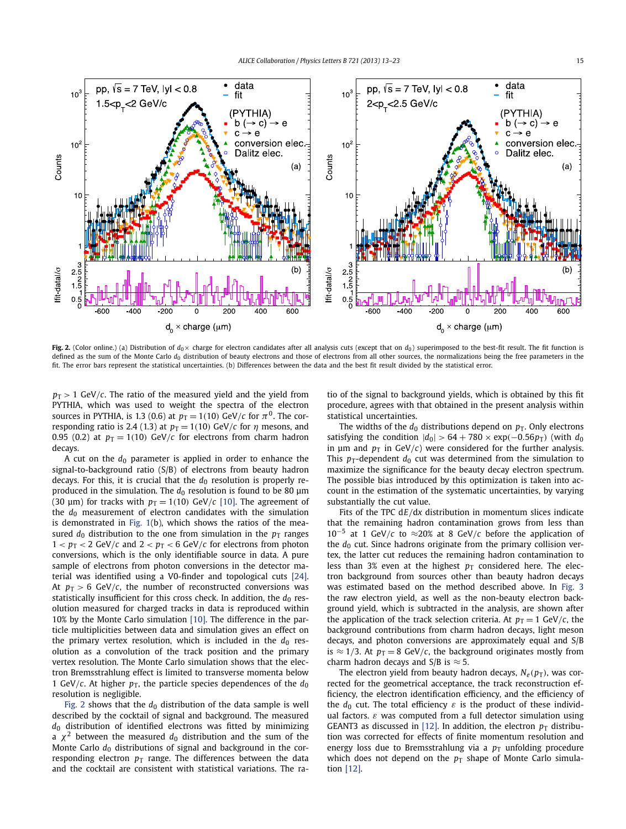

Fig. 2. (Color online.) (a) Distribution of  $d_0 \times$  charge for electron candidates after all analysis cuts (except that on  $d_0$ ) superimposed to the best-fit result. The fit function is defined as the sum of the Monte Carlo  $d_0$  distribution of beauty electrons and those of electrons from all other sources, the normalizations being the free parameters in the fit. The error bars represent the statistical uncertainties. (b) Differences between the data and the best fit result divided by the statistical error.

 $p_T > 1$  GeV/*c*. The ratio of the measured yield and the yield from PYTHIA, which was used to weight the spectra of the electron sources in PYTHIA, is 1.3 (0.6) at  $p_T = 1(10)$  GeV/*c* for  $\pi^0$ . The corresponding ratio is 2.4 (1.3) at  $p_T = 1(10)$  GeV/*c* for  $\eta$  mesons, and 0.95 (0.2) at  $p_T = 1(10)$  GeV/*c* for electrons from charm hadron decays.

A cut on the  $d_0$  parameter is applied in order to enhance the signal-to-background ratio (S/B) of electrons from beauty hadron decays. For this, it is crucial that the  $d_0$  resolution is properly reproduced in the simulation. The *d*<sup>0</sup> resolution is found to be 80 μm (30  $\mu$ m) for tracks with  $p_T = 1(10)$  GeV/*c* [\[10\].](#page-5-0) The agreement of the *d*<sup>0</sup> measurement of electron candidates with the simulation is demonstrated in [Fig. 1\(](#page-1-0)b), which shows the ratios of the measured  $d_0$  distribution to the one from simulation in the  $p_T$  ranges  $1 < p_T < 2$  GeV/*c* and  $2 < p_T < 6$  GeV/*c* for electrons from photon conversions, which is the only identifiable source in data. A pure sample of electrons from photon conversions in the detector material was identified using a V0-finder and topological cuts [\[24\].](#page-5-0) At  $p_T > 6$  GeV/*c*, the number of reconstructed conversions was statistically insufficient for this cross check. In addition, the  $d_0$  resolution measured for charged tracks in data is reproduced within 10% by the Monte Carlo simulation [\[10\].](#page-5-0) The difference in the particle multiplicities between data and simulation gives an effect on the primary vertex resolution, which is included in the  $d_0$  resolution as a convolution of the track position and the primary vertex resolution. The Monte Carlo simulation shows that the electron Bremsstrahlung effect is limited to transverse momenta below 1 GeV/*c*. At higher  $p<sub>T</sub>$ , the particle species dependences of the  $d<sub>0</sub>$ resolution is negligible.

Fig. 2 shows that the  $d_0$  distribution of the data sample is well described by the cocktail of signal and background. The measured *d*<sup>0</sup> distribution of identified electrons was fitted by minimizing a  $\chi^2$  between the measured  $d_0$  distribution and the sum of the Monte Carlo  $d_0$  distributions of signal and background in the corresponding electron  $p_T$  range. The differences between the data and the cocktail are consistent with statistical variations. The ratio of the signal to background yields, which is obtained by this fit procedure, agrees with that obtained in the present analysis within statistical uncertainties.

The widths of the  $d_0$  distributions depend on  $p_T$ . Only electrons satisfying the condition  $|d_0| > 64 + 780 \times \exp(-0.56p_T)$  (with  $d_0$ ) in μm and  $p_T$  in GeV/*c*) were considered for the further analysis. This  $p_T$ -dependent  $d_0$  cut was determined from the simulation to maximize the significance for the beauty decay electron spectrum. The possible bias introduced by this optimization is taken into account in the estimation of the systematic uncertainties, by varying substantially the cut value.

Fits of the TPC d*E/*d*x* distribution in momentum slices indicate that the remaining hadron contamination grows from less than <sup>10</sup>−<sup>5</sup> at 1 GeV*/<sup>c</sup>* to ≈20% at 8 GeV*/<sup>c</sup>* before the application of the  $d_0$  cut. Since hadrons originate from the primary collision vertex, the latter cut reduces the remaining hadron contamination to less than 3% even at the highest  $p<sub>T</sub>$  considered here. The electron background from sources other than beauty hadron decays was estimated based on the method described above. In [Fig. 3](#page-3-0) the raw electron yield, as well as the non-beauty electron background yield, which is subtracted in the analysis, are shown after the application of the track selection criteria. At  $p_T = 1$  GeV/*c*, the background contributions from charm hadron decays, light meson decays, and photon conversions are approximately equal and S/B is  $\approx$  1/3. At  $p_T = 8$  GeV/*c*, the background originates mostly from charm hadron decays and S/B is  $\approx$  5.

The electron yield from beauty hadron decays,  $N_e(p_T)$ , was corrected for the geometrical acceptance, the track reconstruction efficiency, the electron identification efficiency, and the efficiency of the  $d_0$  cut. The total efficiency  $\varepsilon$  is the product of these individual factors. *ε* was computed from a full detector simulation using GEANT3 as discussed in [\[12\].](#page-5-0) In addition, the electron  $p_T$  distribution was corrected for effects of finite momentum resolution and energy loss due to Bremsstrahlung via a  $p<sub>T</sub>$  unfolding procedure which does not depend on the  $p<sub>T</sub>$  shape of Monte Carlo simulation [\[12\].](#page-5-0)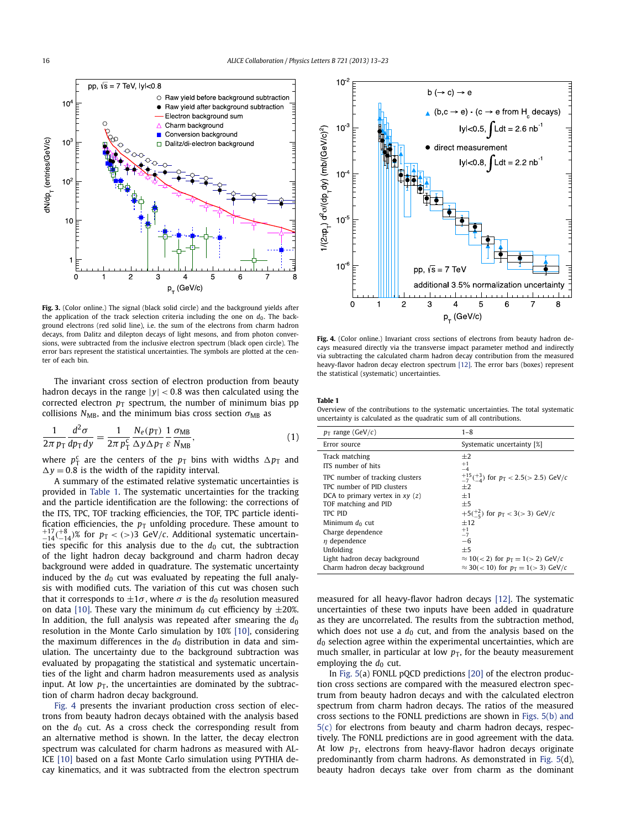<span id="page-3-0"></span>

**Fig. 3.** (Color online.) The signal (black solid circle) and the background yields after the application of the track selection criteria including the one on  $d_0$ . The background electrons (red solid line), i.e. the sum of the electrons from charm hadron decays, from Dalitz and dilepton decays of light mesons, and from photon conversions, were subtracted from the inclusive electron spectrum (black open circle). The error bars represent the statistical uncertainties. The symbols are plotted at the center of each bin.

The invariant cross section of electron production from beauty hadron decays in the range |*y*| *<* 0*.*8 was then calculated using the corrected electron  $p_T$  spectrum, the number of minimum bias pp collisions  $N_{MB}$ , and the minimum bias cross section  $\sigma_{MB}$  as

$$
\frac{1}{2\pi p_{\rm T}} \frac{d^2 \sigma}{dp_{\rm T} dy} = \frac{1}{2\pi p_{\rm T}^{\rm c}} \frac{N_e(p_{\rm T})}{\Delta y \Delta p_{\rm T}} \frac{1}{\varepsilon} \frac{\sigma_{\rm MB}}{N_{\rm MB}},\tag{1}
$$

where  $p_T^c$  are the centers of the  $p_T$  bins with widths  $\Delta p_T$  and  $\Delta y = 0.8$  is the width of the rapidity interval.

A summary of the estimated relative systematic uncertainties is provided in Table 1. The systematic uncertainties for the tracking and the particle identification are the following: the corrections of the ITS, TPC, TOF tracking efficiencies, the TOF, TPC particle identification efficiencies, the  $p<sub>T</sub>$  unfolding procedure. These amount to  $^{+17}_{-14}$ ( $^{+8}_{-14}$ )% for  $p_T < (>3$ ) GeV/*c*. Additional systematic uncertainties specific for this analysis due to the  $d_0$  cut, the subtraction of the light hadron decay background and charm hadron decay background were added in quadrature. The systematic uncertainty induced by the  $d_0$  cut was evaluated by repeating the full analysis with modified cuts. The variation of this cut was chosen such that it corresponds to  $\pm 1\sigma$ , where  $\sigma$  is the  $d_0$  resolution measured on data [\[10\].](#page-5-0) These vary the minimum  $d_0$  cut efficiency by  $\pm 20\%$ . In addition, the full analysis was repeated after smearing the  $d_0$ resolution in the Monte Carlo simulation by 10% [\[10\],](#page-5-0) considering the maximum differences in the  $d_0$  distribution in data and simulation. The uncertainty due to the background subtraction was evaluated by propagating the statistical and systematic uncertainties of the light and charm hadron measurements used as analysis input. At low  $p<sub>T</sub>$ , the uncertainties are dominated by the subtraction of charm hadron decay background.

Fig. 4 presents the invariant production cross section of electrons from beauty hadron decays obtained with the analysis based on the  $d_0$  cut. As a cross check the corresponding result from an alternative method is shown. In the latter, the decay electron spectrum was calculated for charm hadrons as measured with AL-ICE [\[10\]](#page-5-0) based on a fast Monte Carlo simulation using PYTHIA decay kinematics, and it was subtracted from the electron spectrum



Fig. 4. (Color online.) Invariant cross sections of electrons from beauty hadron decays measured directly via the transverse impact parameter method and indirectly via subtracting the calculated charm hadron decay contribution from the measured heavy-flavor hadron decay electron spectrum [\[12\].](#page-5-0) The error bars (boxes) represent the statistical (systematic) uncertainties.

#### **Table 1**

Overview of the contributions to the systematic uncertainties. The total systematic uncertainty is calculated as the quadratic sum of all contributions.

| $p_T$ range (GeV/c)                                                                                                                        | $1 - 8$                                                                                                                                  |
|--------------------------------------------------------------------------------------------------------------------------------------------|------------------------------------------------------------------------------------------------------------------------------------------|
| Error source                                                                                                                               | Systematic uncertainty [%]                                                                                                               |
| Track matching<br>ITS number of hits                                                                                                       | $+2$<br>$+1$<br>$-4$                                                                                                                     |
| TPC number of tracking clusters<br>TPC number of PID clusters<br>DCA to primary vertex in $xy(z)$<br>TOF matching and PID<br>TPC PID       | $^{+15}_{-7}$ ( $^{+3}_{-4}$ ) for $p_T < 2.5$ ( $> 2.5$ ) GeV/c<br>$+2$<br>$+1$<br>$+5$<br>$+5(\frac{+2}{5})$ for $p_T < 3 (> 3)$ GeV/c |
| Minimum $d_0$ cut<br>Charge dependence<br>$\eta$ dependence<br>Unfolding<br>Light hadron decay background<br>Charm hadron decay background | $+12$<br>$^{+1}_{-7}$<br>$-6$<br>$+5$<br>$\approx 10 (< 2)$ for $p_T = 1 (> 2)$ GeV/c<br>$\approx$ 30(< 10) for $p_T = 1$ (> 3) GeV/c    |

measured for all heavy-flavor hadron decays [\[12\].](#page-5-0) The systematic uncertainties of these two inputs have been added in quadrature as they are uncorrelated. The results from the subtraction method, which does not use a  $d_0$  cut, and from the analysis based on the *d*<sup>0</sup> selection agree within the experimental uncertainties, which are much smaller, in particular at low  $p<sub>T</sub>$ , for the beauty measurement employing the  $d_0$  cut.

In [Fig. 5\(](#page-4-0)a) FONLL pQCD predictions [\[20\]](#page-5-0) of the electron production cross sections are compared with the measured electron spectrum from beauty hadron decays and with the calculated electron spectrum from charm hadron decays. The ratios of the measured cross sections to the FONLL predictions are shown in [Figs. 5\(b\) and](#page-4-0)  $5(c)$  for electrons from beauty and charm hadron decays, respectively. The FONLL predictions are in good agreement with the data. At low  $p_T$ , electrons from heavy-flavor hadron decays originate predominantly from charm hadrons. As demonstrated in [Fig. 5\(](#page-4-0)d), beauty hadron decays take over from charm as the dominant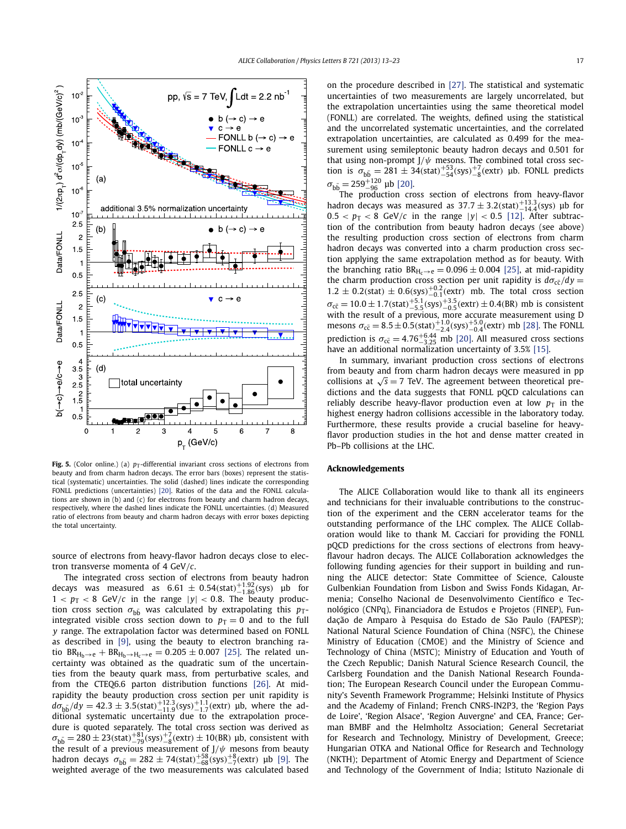<span id="page-4-0"></span>

Fig. 5. (Color online.) (a)  $p_T$ -differential invariant cross sections of electrons from beauty and from charm hadron decays. The error bars (boxes) represent the statistical (systematic) uncertainties. The solid (dashed) lines indicate the corresponding FONLL predictions (uncertainties) [\[20\].](#page-5-0) Ratios of the data and the FONLL calculations are shown in (b) and (c) for electrons from beauty and charm hadron decays, respectively, where the dashed lines indicate the FONLL uncertainties. (d) Measured ratio of electrons from beauty and charm hadron decays with error boxes depicting the total uncertainty.

source of electrons from heavy-flavor hadron decays close to electron transverse momenta of 4 GeV*/c*.

The integrated cross section of electrons from beauty hadron decays was measured as  $6.61 \pm 0.54$ (stat)<sup>+1.92</sup><sub>-1.86</sub>(sys) µb for  $1 < p_T < 8$  GeV/*c* in the range  $|y| < 0.8$ . The beauty production cross section  $\sigma_{b\bar{b}}$  was calculated by extrapolating this  $p_T$ integrated visible cross section down to  $p_T = 0$  and to the full *y* range. The extrapolation factor was determined based on FONLL as described in [\[9\],](#page-5-0) using the beauty to electron branching ra-tio BR<sub>H<sub>b</sub>→e + BR<sub>H<sub>b</sub>→H<sub>c</sub>→e = 0.205 ± 0.007 [\[25\].](#page-5-0) The related un-</sub></sub> certainty was obtained as the quadratic sum of the uncertainties from the beauty quark mass, from perturbative scales, and from the CTEQ6.6 parton distribution functions [\[26\].](#page-5-0) At midrapidity the beauty production cross section per unit rapidity is  $d\sigma_{\rm b\bar{b}}/dy = 42.3 \pm 3.5$ (stat)<sup>+12.3</sup><sub>-11.9</sub>(extr) μb, where the additional systematic uncertainty due to the extrapolation procedure is quoted separately. The total cross section was derived as  $\sigma_{\rm b\bar{b}} = 280 \pm 23 \text{(stat)} \pm 78 \text{(sys)} \pm 78 \text{(extr)} \pm 10 \text{(BR)}$  μb, consistent with the result of a previous measurement of J/ψ mesons from beauty hadron decays  $\sigma_{\rm bb} = 282 \pm 74 \text{(stat)}_{-68}^{+58} \text{(sys)}_{-7}^{+8} \text{(extr)}$  µb [\[9\].](#page-5-0) The weighted average of the two measurements was calculated based on the procedure described in [\[27\].](#page-5-0) The statistical and systematic uncertainties of two measurements are largely uncorrelated, but the extrapolation uncertainties using the same theoretical model (FONLL) are correlated. The weights, defined using the statistical and the uncorrelated systematic uncertainties, and the correlated extrapolation uncertainties, are calculated as 0.499 for the measurement using semileptonic beauty hadron decays and 0.501 for that using non-prompt J*/ψ* mesons. The combined total cross section is  $\sigma_{\overline{b} \overline{b}} = 281 \pm 34 \text{(stat)}_{-54}^{+53} \text{(sys)}_{-8}^{+7} \text{(extr)}$  µb. FONLL predicts  $\sigma_{\rm b\bar{b}} = 259^{+120}_{-96}$  μb [\[20\].](#page-5-0)

The production cross section of electrons from heavy-flavor hadron decays was measured as  $37.7 \pm 3.2$ (stat)<sup> $+13.3$ </sup>(sys) µb for  $0.5 < p_T < 8$  GeV/*c* in the range  $|y| < 0.5$  [\[12\].](#page-5-0) After subtraction of the contribution from beauty hadron decays (see above) the resulting production cross section of electrons from charm hadron decays was converted into a charm production cross section applying the same extrapolation method as for beauty. With the branching ratio  $BR_{H_c\rightarrow e} = 0.096 \pm 0.004$  [\[25\],](#page-5-0) at mid-rapidity the charm production cross section per unit rapidity is  $d\sigma_{c\bar{c}}/dy =$  $1.2 \pm 0.2$ (stat)  $\pm 0.6$ (sys)<sup>+0.2</sup>(extr) mb. The total cross section  $\sigma_{\rm c\bar{c}} = 10.0 \pm 1.7$ *(*stat)<sup>+5.1</sup><sub>−5.5</sub>*(sys)*<sup>+3.5</sup><sub>−0.5</sub>*(extr)* ± 0.4*(BR)* mb is consistent with the result of a previous, more accurate measurement using D mesons  $\sigma_{\rm c\bar{c}} = 8.5 \pm 0.5$ (stat)<sup>+1.0</sup><sub>-2.4</sub>(eys)<sup>+5.0</sup><sub>-0.4</sub>(extr) mb [\[28\].](#page-5-0) The FONLL prediction is  $\sigma_{\bar{c}} = 4.76^{+6.44}_{-3.25}$  mb [\[20\].](#page-5-0) All measured cross sections have an additional normalization uncertainty of 3.5% [\[15\].](#page-5-0)

In summary, invariant production cross sections of electrons from beauty and from charm hadron decays were measured in pp collisions at  $\sqrt{s}$  = 7 TeV. The agreement between theoretical predictions and the data suggests that FONLL pQCD calculations can reliably describe heavy-flavor production even at low  $p<sub>T</sub>$  in the highest energy hadron collisions accessible in the laboratory today. Furthermore, these results provide a crucial baseline for heavyflavor production studies in the hot and dense matter created in Pb–Pb collisions at the LHC.

#### **Acknowledgements**

The ALICE Collaboration would like to thank all its engineers and technicians for their invaluable contributions to the construction of the experiment and the CERN accelerator teams for the outstanding performance of the LHC complex. The ALICE Collaboration would like to thank M. Cacciari for providing the FONLL pQCD predictions for the cross sections of electrons from heavyflavour hadron decays. The ALICE Collaboration acknowledges the following funding agencies for their support in building and running the ALICE detector: State Committee of Science, Calouste Gulbenkian Foundation from Lisbon and Swiss Fonds Kidagan, Armenia; Conselho Nacional de Desenvolvimento Científico e Tecnológico (CNPq), Financiadora de Estudos e Projetos (FINEP), Fundação de Amparo à Pesquisa do Estado de São Paulo (FAPESP); National Natural Science Foundation of China (NSFC), the Chinese Ministry of Education (CMOE) and the Ministry of Science and Technology of China (MSTC); Ministry of Education and Youth of the Czech Republic; Danish Natural Science Research Council, the Carlsberg Foundation and the Danish National Research Foundation; The European Research Council under the European Community's Seventh Framework Programme; Helsinki Institute of Physics and the Academy of Finland; French CNRS-IN2P3, the 'Region Pays de Loire', 'Region Alsace', 'Region Auvergne' and CEA, France; German BMBF and the Helmholtz Association; General Secretariat for Research and Technology, Ministry of Development, Greece; Hungarian OTKA and National Office for Research and Technology (NKTH); Department of Atomic Energy and Department of Science and Technology of the Government of India; Istituto Nazionale di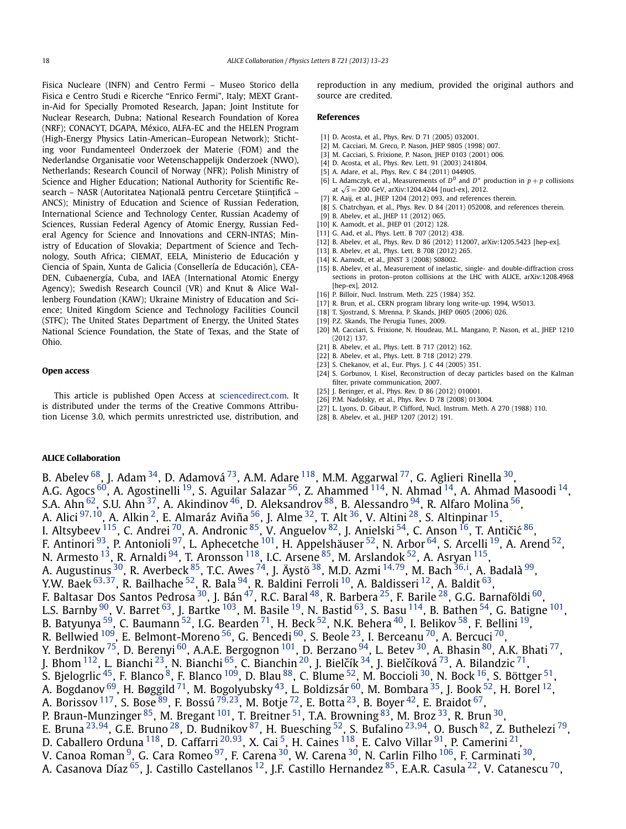<span id="page-5-0"></span>Fisica Nucleare (INFN) and Centro Fermi – Museo Storico della Fisica e Centro Studi e Ricerche "Enrico Fermi", Italy; MEXT Grantin-Aid for Specially Promoted Research, Japan; Joint Institute for Nuclear Research, Dubna; National Research Foundation of Korea (NRF); CONACYT, DGAPA, México, ALFA-EC and the HELEN Program (High-Energy Physics Latin-American–European Network); Stichting voor Fundamenteel Onderzoek der Materie (FOM) and the Nederlandse Organisatie voor Wetenschappelijk Onderzoek (NWO), Netherlands; Research Council of Norway (NFR); Polish Ministry of Science and Higher Education; National Authority for Scientific Research – NASR (Autoritatea Națională pentru Cercetare Științifică – ANCS); Ministry of Education and Science of Russian Federation, International Science and Technology Center, Russian Academy of Sciences, Russian Federal Agency of Atomic Energy, Russian Federal Agency for Science and Innovations and CERN-INTAS; Ministry of Education of Slovakia; Department of Science and Technology, South Africa; CIEMAT, EELA, Ministerio de Educación y Ciencia of Spain, Xunta de Galicia (Consellería de Educación), CEA-DEN, Cubaenergía, Cuba, and IAEA (International Atomic Energy Agency); Swedish Research Council (VR) and Knut & Alice Wallenberg Foundation (KAW); Ukraine Ministry of Education and Science; United Kingdom Science and Technology Facilities Council (STFC); The United States Department of Energy, the United States National Science Foundation, the State of Texas, and the State of Ohio.

### **Open access**

This article is published Open Access at [sciencedirect.com](http://www.sciencedirect.com). It is distributed under the terms of the Creative Commons Attribution License 3.0, which permits unrestricted use, distribution, and reproduction in any medium, provided the original authors and source are credited.

#### **References**

- [1] D. Acosta, et al., Phys. Rev. D 71 (2005) 032001.
- [2] M. Cacciari, M. Greco, P. Nason, JHEP 9805 (1998) 007.
- [3] M. Cacciari, S. Frixione, P. Nason, JHEP 0103 (2001) 006.
- [4] D. Acosta, et al., Phys. Rev. Lett. 91 (2003) 241804.
- [5] A. Adare, et al., Phys. Rev. C 84 (2011) 044905.
- [6] L. Adamczyk, et al., Measurements of  $D^0$  and  $D^*$  production in  $p + p$  collisions at <sup>√</sup>*<sup>s</sup>* <sup>=</sup> 200 GeV, arXiv:1204.4244 [nucl-ex], 2012.
- [7] R. Aaij, et al., JHEP 1204 (2012) 093, and references therein.
- [8] S. Chatrchyan, et al., Phys. Rev. D 84 (2011) 052008, and references therein.
- [9] B. Abelev, et al., JHEP 11 (2012) 065.
- [10] K. Aamodt, et al., JHEP 01 (2012) 128.
- [11] G. Aad, et al., Phys. Lett. B 707 (2012) 438.
- [12] B. Abelev, et al., Phys. Rev. D 86 (2012) 112007, arXiv:1205.5423 [hep-ex].
- [13] B. Abelev, et al., Phys. Lett. B 708 (2012) 265. [14] K. Aamodt, et al., JINST 3 (2008) S08002.
- [15] B. Abelev, et al., Measurement of inelastic, single- and double-diffraction cross sections in proton–proton collisions at the LHC with ALICE, arXiv:1208.4968 [hep-ex], 2012.
- [16] P. Billoir, Nucl. Instrum. Meth. 225 (1984) 352.
- [17] R. Brun, et al., CERN program library long write-up, 1994, W5013.
- [18] T. Sjostrand, S. Mrenna, P. Skands, JHEP 0605 (2006) 026.
- [19] P.Z. Skands, The Perugia Tunes, 2009.
- [20] M. Cacciari, S. Frixione, N. Houdeau, M.L. Mangano, P. Nason, et al., JHEP 1210 (2012) 137.
- [21] B. Abelev, et al., Phys. Lett. B 717 (2012) 162.
- [22] B. Abelev, et al., Phys. Lett. B 718 (2012) 279.
- [23] S. Chekanov, et al., Eur. Phys. J. C 44 (2005) 351.
- [24] S. Gorbunov, I. Kisel, Reconstruction of decay particles based on the Kalman filter, private communication, 2007.
- [25] J. Beringer, et al., Phys. Rev. D 86 (2012) 010001.
- [26] P.M. Nadolsky, et al., Phys. Rev. D 78 (2008) 013004.
- [27] L. Lyons, D. Gibaut, P. Clifford, Nucl. Instrum. Meth. A 270 (1988) 110.
- [28] B. Abelev, et al., JHEP 1207 (2012) 191.

### **ALICE Collaboration**

B. Abelev  $^{68}$ , J. Adam  $^{34}$ , D. Adamová  $^{73}$ , A.M. Adare  $^{118}$ , M.M. Aggarwal  $^{77}$ , G. Aglieri Rinella  $^{30}$ , A.G. Agocs  $^{60}$ , A. Agostinelli  $^{19}$ , S. Aguilar Salazar  $^{56}$ , Z. Ahammed  $^{114}$ , N. Ahmad  $^{14}$ , A. Ahmad Masoodi  $^{14}$ , S.A. Ahn  $^{62}$ , S.U. Ahn  $^{37}$ , A. Akindinov  $^{46}$ , D. Aleksandrov  $^{88}$ , B. Alessandro  $^{94}$ , R. Alfaro Molina  $^{56}$ , A. Alici [97](#page-9-0)*,*[10,](#page-8-0) A. Alkin [2,](#page-8-0) E. Almaráz Aviña [56,](#page-9-0) J. Alme [32,](#page-8-0) T. Alt [36,](#page-8-0) V. Altini [28,](#page-8-0) S. Altinpinar [15,](#page-8-0) I. Altsybeev  $^{115}$ , C. Andrei  $^{70}$ , A. Andronic  $^{85}$ , V. Anguelov  $^{82}$ , J. Anielski  $^{54}$ , C. Anson  $^{16}$ , T. Antičić  $^{86},$ F. Antinori <sup>93</sup>, P. Antonioli <sup>97</sup>, L. Aphecetche <sup>101</sup>, H. Appelshäuser <sup>52</sup>, N. Arbor <sup>64</sup>, S. Arcelli <sup>19</sup>, A. Arend <sup>52</sup>, N. Armesto  $^{13}$ , R. Arnaldi  $^{94}$ , T. Aronsson  $^{118}$ , I.C. Arsene  $^{85}$ , M. Arslandok  $^{52}$ , A. Asryan  $^{115}$  $^{115}$  $^{115}$ , A. Augustinus <sup>30</sup>, R. Averbeck <sup>85</sup>, T.C. Awes <sup>74</sup>, J. Äystö <sup>38</sup>, M.D. Azmi <sup>[14](#page-8-0),79</sup>, M. Bach <sup>[36](#page-8-0),[i](#page-10-0)</sup>, A. Badalà <sup>99</sup>, Y.W. Baek [63](#page-9-0)*,*[37,](#page-8-0) R. Bailhache [52,](#page-9-0) R. Bala [94,](#page-9-0) R. Baldini Ferroli [10,](#page-8-0) A. Baldisseri [12](#page-8-0), A. Baldit [63](#page-9-0), F. Baltasar Dos Santos Pedrosa $^{30}$ , J. Bán $^{47}$ , R.C. Baral $^{48}$ , R. Barbera $^{25}$  $^{25}$  $^{25}$ , F. Barile $^{28}$ , G.G. Barnaföldi $^{60}$ , L.S. Barnby  $^{90}$ , V. Barret  $^{63}$  $^{63}$  $^{63}$ , J. Bartke  $^{103}$ , M. Basile  $^{19}$  $^{19}$  $^{19}$ , N. Bastid  $^{63}$ , S. Basu  $^{114}$ , B. Bathen  $^{54}$ , G. Batigne  $^{101}$ , B. Batyunya <sup>59</sup>, C. Baumann <sup>[52](#page-9-0)</sup>, I.G. Bearden <sup>71</sup>, H. Beck <sup>52</sup>, N.K. Behera <sup>40</sup>, I. Belikov <sup>58</sup>, F. Bellini <sup>19</sup>, R. Bellwied  $^{109}$ , E. Belmont-Moreno  $^{56}$ , G. Bencedi  $^{60}$ , S. Beole  $^{23}$ , I. Berceanu  $^{70}$ , A. Bercuci  $^{70}$ , Y. Berdnikov <sup>75</sup>, D. Berenyi <sup>60</sup>, A.A.E. Bergognon <sup>[101](#page-9-0)</sup>, D. Berzano <sup>94</sup>, L. Betev <sup>30</sup>, A. Bhasin <sup>80</sup>, A.K. Bhati <sup>77</sup>, J. Bhom  $^{112}$ , L. Bianchi  $^{23}$ , N. Bianchi  $^{65}$ , C. Bianchin  $^{20}$  $^{20}$  $^{20}$ , J. Bielčík  $^{34}$  $^{34}$  $^{34}$ , J. Bielčíková  $^{73}$ , A. Bilandzic  $^{71}$ , S. Bjelogrlic  $^{45}$ , F. Blanco  $^8$ , F. Blanco  $^{109}$  $^{109}$  $^{109}$ , D. Blau  $^{88}$ , C. Blume  $^{52}$ , M. Boccioli  $^{30}$ , N. Bock  $^{16}$ , S. Böttger  $^{51}$ , A. Bogdanov  $^{69}$ , H. Bøggild  $^{71}$ , M. Bogolyubsky  $^{43}$ , L. Boldizsár  $^{60}$ , M. Bombara  $^{35}$ , J. Book  $^{52}$ , H. Borel  $^{12}$ , A. Borissov [117,](#page-9-0) S. Bose [89](#page-9-0), F. Bossú [79](#page-9-0)*,*[23,](#page-8-0) M. Botje [72,](#page-9-0) E. Botta [23,](#page-8-0) B. Boyer [42,](#page-8-0) E. Braidot [67,](#page-9-0) P. Braun-Munzinger <sup>85</sup>, M. Bregant <sup>[101](#page-9-0)</sup>, T. Breitner <sup>51</sup>, T.A. Browning <sup>83</sup>, M. Broz <sup>33</sup>, R. Brun <sup>[30](#page-8-0)</sup>, E. Bruna [23](#page-8-0)*,*[94,](#page-9-0) G.E. Bruno [28,](#page-8-0) D. Budnikov [87,](#page-9-0) H. Buesching [52,](#page-9-0) S. Bufalino [23](#page-8-0)*,*[94,](#page-9-0) O. Busch [82,](#page-9-0) Z. Buthelezi [79,](#page-9-0) D. Caballero Orduna [118,](#page-9-0) D. Caffarri [20](#page-8-0)*,*[93,](#page-9-0) X. Cai [5,](#page-8-0) H. Caines [118,](#page-9-0) E. Calvo Villar [91,](#page-9-0) P. Camerini [21,](#page-8-0) V. Canoa Roman  $^9$ , G. Cara Romeo  $^{97}$ , F. Carena  $^{30}$  $^{30}$  $^{30}$ , W. Carena  $^{30}$ , N. Carlin Filho  $^{106}$ , F. Carminati  $^{30}$ , A. Casanova Díaz $^{65}$ , J. Castillo Castellanos  $^{12}$ , J.F. Castillo Hernandez  $^{85}$ , E.A.R. Casula  $^{22}$ , V. Catanescu  $^{70}$ ,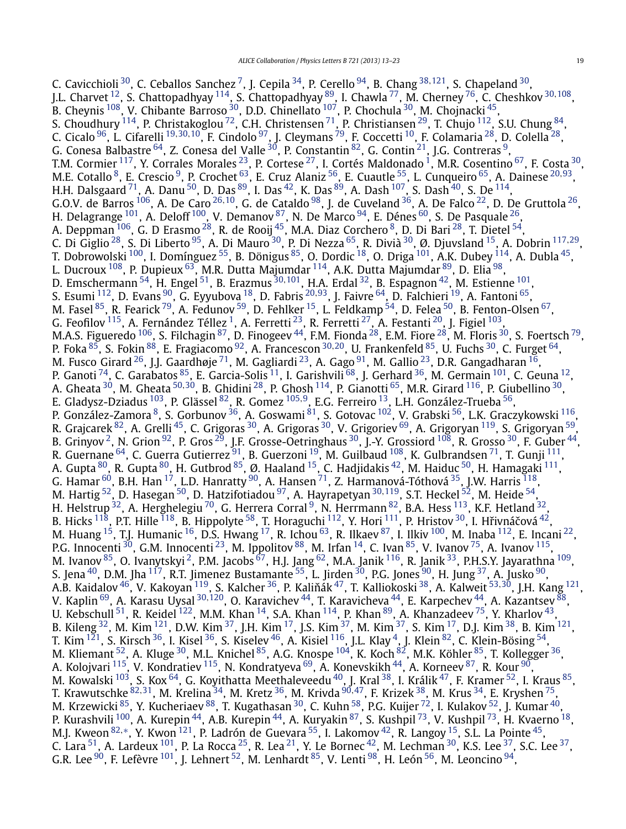C. Cavicchioli [30,](#page-8-0) C. Ceballos Sanchez [7,](#page-8-0) J. Cepila [34](#page-8-0), P. Cerello [94,](#page-9-0) B. Chang [38](#page-8-0)*,*[121,](#page-9-0) S. Chapeland [30,](#page-8-0) J.L. Charvet [12,](#page-8-0) S. Chattopadhyay [114,](#page-9-0) S. Chattopadhyay [89](#page-9-0), I. Chawla [77,](#page-9-0) M. Cherney [76,](#page-9-0) C. Cheshkov [30](#page-8-0)*,*[108](#page-9-0), B. Cheynis <sup>108</sup>, V. Chibante Barroso <sup>30</sup>, D.D. Chinellato <sup>107</sup>, P. Chochula <sup>30</sup>, M. Chojnacki <sup>45</sup>, S. Choudhury  $^{114}$ , P. Christakoglou  $^{72}$ , C.H. Christensen  $^{71}$ , P. Christiansen  $^{29}$  $^{29}$  $^{29}$ , T. Chujo  $^{112}$ , S.U. Chung  $^{84}$ , C. Cicalo [96,](#page-9-0) L. Cifarelli [19](#page-8-0)*,*[30](#page-8-0)*,*[10,](#page-8-0) F. Cindolo [97,](#page-9-0) J. Cleymans [79,](#page-9-0) F. Coccetti [10,](#page-8-0) F. Colamaria [28,](#page-8-0) D. Colella [28,](#page-8-0) G. Conesa Balbastre $^{64}$ , Z. Conesa del Valle $^{30}$  $^{30}$  $^{30}$ , P. Constantin $^{82}$  $^{82}$  $^{82}$ , G. Contin $^{21}$ , J.G. Contreras $^9$ , T.M. Cormier <sup>[1](#page-8-0)17</sup>, Y. Corrales Morales <sup>23</sup>, P. Cortese <sup>27</sup>, I. Cortés Maldonado <sup>1</sup>, M.R. Cosentino <sup>67</sup>, F. Costa <sup>30</sup>, M.E. Cotallo [8,](#page-8-0) E. Crescio [9,](#page-8-0) P. Crochet [63,](#page-9-0) E. Cruz Alaniz [56,](#page-9-0) E. Cuautle [55,](#page-9-0) L. Cunqueiro [65,](#page-9-0) A. Dainese [20](#page-8-0)*,*[93,](#page-9-0) H.H. Dalsgaard  $^{71}$ , A. Danu  $^{50}$ , D. Das  $^{89}$ , I. Das  $^{42}$ , K. Das  $^{89}$ , A. Dash  $^{107}$ , S. Dash  $^{40}$ , S. De  $^{114}$ , G.O.V. de Barros [106,](#page-9-0) A. De Caro [26](#page-8-0)*,*[10,](#page-8-0) G. de Cataldo [98,](#page-9-0) J. de Cuveland [36,](#page-8-0) A. De Falco [22,](#page-8-0) D. De Gruttola [26,](#page-8-0) H. Delagrange  $^{101}$ , A. Deloff  $^{100}$ , V. Demanov  $^{87}$  $^{87}$  $^{87}$ , N. De Marco  $^{94}$ , E. Dénes  $^{60}$ , S. De Pasquale  $^{26},$ A. Deppman  $^{106}$ , G. D Erasmo  $^{28}$  $^{28}$  $^{28}$ , R. de Rooij  $^{45}$  $^{45}$  $^{45}$ , M.A. Diaz Corchero  $^8$ , D. Di Bari  $^{28}$ , T. Dietel  $^{54}$ , C. Di Giglio [28,](#page-8-0) S. Di Liberto [95](#page-9-0), A. Di Mauro [30,](#page-8-0) P. Di Nezza [65](#page-9-0), R. Divià [30,](#page-8-0) Ø. Djuvsland [15,](#page-8-0) A. Dobrin [117](#page-9-0)*,*[29,](#page-8-0) T. Dobrowolski  $^{100}$ , I. Domínguez  $^{55}$ , B. Dönigus  $^{85}$  $^{85}$  $^{85}$ , O. Dordic  $^{18}$ , O. Driga  $^{101}$ , A.K. Dubey  $^{114}$ , A. Dubla  $^{45}$  $^{45}$  $^{45}$ , L. Ducroux <sup>108</sup>, P. Dupieux <sup>63</sup>, M.R. Dutta Majumdar <sup>114</sup>, A.K. Dutta Majumdar <sup>[89](#page-9-0)</sup>, D. Elia <sup>98</sup>, D. Emschermann [54,](#page-9-0) H. Engel [51,](#page-9-0) B. Erazmus [30](#page-8-0)*,*[101,](#page-9-0) H.A. Erdal [32,](#page-8-0) B. Espagnon [42,](#page-8-0) M. Estienne [101,](#page-9-0) S. Esumi [112,](#page-9-0) D. Evans [90,](#page-9-0) G. Eyyubova [18,](#page-8-0) D. Fabris [20](#page-8-0)*,*[93,](#page-9-0) J. Faivre [64,](#page-9-0) D. Falchieri [19,](#page-8-0) A. Fantoni [65,](#page-9-0) M. Fasel  $^{85}$ , R. Fearick  $^{79}$ , A. Fedunov  $^{59}$ , D. Fehlker  $^{15}$ , L. Feldkamp  $^{54}$  $^{54}$  $^{54}$ , D. Felea  $^{50}$  $^{50}$  $^{50}$ , B. Fenton-Olsen  $^{67},$ G. Feofilov  $^{115}$ , A. Fernández Téllez  $^1$ , A. Ferretti  $^{23}$  $^{23}$  $^{23}$ , R. Ferretti  $^{27}$ , A. Festanti  $^{20}$ , J. Figiel  $^{103},$  $^{103},$  $^{103},$ M.A.S. Figueredo  $^{106}$ , S. Filchagin  $^{87}$  $^{87}$  $^{87}$ , D. Finogeev  $^{44}$ , F.M. Fionda  $^{28}$ , E.M. Fiore  $^{28}$ , M. Floris  $^{30}$ , S. Foertsch  $^{79}$ , P. Foka [85,](#page-9-0) S. Fokin [88,](#page-9-0) E. Fragiacomo [92](#page-9-0), A. Francescon [30](#page-8-0)*,*[20,](#page-8-0) U. Frankenfeld [85,](#page-9-0) U. Fuchs [30,](#page-8-0) C. Furget [64,](#page-9-0) M. Fusco Girard <sup>26</sup>, J.J. Gaardhøje <sup>71</sup>, M. Gagliardi <sup>23</sup>, A. Gago <sup>91</sup>, M. Gallio <sup>23</sup>, D.R. Gangadharan <sup>16</sup>, P. Ganoti  $^{74}$ , C. Garabatos  $^{85}$ , E. Garcia-Solis  $^{11}$ , I. Garishvili  $^{68}$ , J. Gerhard  $^{36}$ , M. Germain  $^{101}$ , C. Geuna  $^{12}$ , A. Gheata [30,](#page-8-0) M. Gheata [50](#page-9-0)*,*[30,](#page-8-0) B. Ghidini [28,](#page-8-0) P. Ghosh [114,](#page-9-0) P. Gianotti [65](#page-9-0), M.R. Girard [116,](#page-9-0) P. Giubellino [30,](#page-8-0) E. Gladysz-Dziadus [103,](#page-9-0) P. Glässel [82,](#page-9-0) R. Gomez [105](#page-9-0)*,*[9](#page-8-0), E.G. Ferreiro [13,](#page-8-0) L.H. González-Trueba [56,](#page-9-0) P. González-Zamora <sup>8</sup>, S. Gorbunov <sup>36</sup>, A. Goswami <sup>81</sup>, S. Gotovac <sup>102</sup>, V. Grabski <sup>56</sup>, L.K. Graczykowski <sup>116</sup>, R. Grajcarek <sup>82</sup>, A. Grelli <sup>45</sup>, C. Grigoras <sup>30</sup>, A. Grigoras <sup>30</sup>, V. Grigoriev <sup>69</sup>, A. Grigoryan <sup>119</sup>, S. Grigoryan <sup>59</sup>, B. Grinyov <sup>2</sup>, N. Grion  $^{92}$ , P. Gros  $^{29}$ , J.F. Grosse-Oetringhaus  $^{30}$ , J.-Y. Grossiord  $^{108}$ , R. Grosso  $^{30}$ , F. Guber  $^{44}$ , R. Guernane  $^{64}$ , C. Guerra Gutierrez  $^{91}$ , B. Guerzoni  $^{19}$ , M. Guilbaud  $^{108}$ , K. Gulbrandsen  $^{71}$  $^{71}$  $^{71}$ , T. Gunji  $^{111}$ , A. Gupta  $^{80}$  $^{80}$  $^{80}$ , R. Gupta  $^{80}$ , H. Gutbrod  $^{85}$ , Ø. Haaland  $^{15}$ , C. Hadjidakis  $^{42}$ , M. Haiduc  $^{50}$ , H. Hamagaki  $^{111}$ , G. Hamar  $^{60}$ , B.H. Han  $^{17}$ , L.D. Hanratty  $^{90}$ , A. Hansen  $^{71}$ , Z. Harmanová-Tóthová  $^{35}$ , J.W. Harris  $^{118}$ , M. Hartig <sup>[52](#page-9-0)</sup>, D. Hasegan <sup>[50](#page-9-0)</sup>, D. Hatzifotiadou <sup>97</sup>, A. Hayrapetyan <sup>[30](#page-8-0),119</sup>, S.T. Heckel <sup>52</sup>, M. Heide <sup>54</sup>, H. Helstrup  $^{32}$ , A. Herghelegiu  $^{70}$ , G. Herrera Corral  $^{9}$ , N. Herrmann  $^{82}$ , B.A. Hess  $^{113}$ , K.F. Hetland  $^{32}$ , B. Hicks  $^{118}$ , P.T. Hille  $^{118}$ , B. Hippolyte  $^{58}$ , T. Horaguchi  $^{112}$ , Y. Hori  $^{111}$  $^{111}$  $^{111}$ , P. Hristov  $^{30}$ , I. Hřivnáčová  $^{42}$ , M. Huang  $^{15}$ , T.J. Humanic  $^{16}$ , D.S. Hwang  $^{17}$  $^{17}$  $^{17}$ , R. Ichou  $^{63}$ , R. Ilkaev  $^{87}$ , I. Ilkiv  $^{100}$  $^{100}$  $^{100}$ , M. Inaba  $^{112}$ , E. Incani  $^{22}$ , P.G. Innocenti  $^{30}$ , G.M. Innocenti  $^{23}$  $^{23}$  $^{23}$ , M. Ippolitov  $^{88}$ , M. Irfan  $^{14}$ , C. Ivan  $^{85}$ , V. Ivanov  $^{75}$ , A. Ivanov  $^{115}$ , M. Ivanov <sup>85</sup>, O. Ivanytskyi <sup>2</sup>, P.M. Jacobs <sup>67</sup>, H.J. Jang <sup>62</sup>, M.A. Janik <sup>116</sup>, R. Janik <sup>33</sup>, P.H.S.Y. Jayarathna <sup>109</sup>, S. Jena  $^{40}$ , D.M. Jha  $^{117}$ , R.T. Jimenez Bustamante  $^{55}$ , L. Jirden  $^{30}$ , P.G. Jones  $^{90}$ , H. Jung  $^{37}$ , A. Jusko  $^{90}$ , A.B. Kaidalov <sup>46</sup>, V. Kakoyan <sup>119</sup>, S. Kalcher <sup>36</sup>, P. Kaliňák <sup>47</sup>, T. Kalliokoski <sup>38</sup>, A. Kalweit <sup>[53](#page-9-0),[30](#page-8-0)</sup>, J.H. Kang <sup>121</sup>, V. Kaplin [69,](#page-9-0) A. Karasu Uysal [30](#page-8-0)*,*[120,](#page-9-0) O. Karavichev [44,](#page-8-0) T. Karavicheva [44,](#page-8-0) E. Karpechev [44,](#page-8-0) A. Kazantsev [88](#page-9-0), U. Kebschull  $^{51}$ , R. Keidel  $^{122}$ , M.M. Khan  $^{14}$ , S.A. Khan  $^{114}$ , P. Khan  $^{89}$  $^{89}$  $^{89}$ , A. Khanzadeev  $^{75}$ , Y. Kharlov  $^{43}$ , B. Kileng  $^{32}$ , M. Kim  $^{121}$ , D.W. Kim  $^{37}$ , J.H. Kim  $^{17}$ , J.S. Kim  $^{37}$ , M. Kim  $^{37}$ , S. Kim  $^{17}$ , D.J. Kim  $^{38}$ , B. Kim  $^{121}$ , T. Kim  $^{121}$ , S. Kirsch  $^{36}$ , I. Kisel  $^{36}$ , S. Kiselev  $^{46}$ , A. Kisiel  $^{116}$  $^{116}$  $^{116}$ , J.L. Klay  $^4$ , J. Klein  $^{82}$ , C. Klein-Bösing  $^{54}$ , M. Kliemant <sup>52</sup>, A. Kluge <sup>30</sup>, M.L. Knichel <sup>85</sup>, A.G. Knospe <sup>104</sup>, K. Koch <sup>82</sup>, M.K. Köhler <sup>85</sup>, T. Kollegger <sup>36</sup>, A. Kolojvari <sup>115</sup>, V. Kondratiev <sup>115</sup>, N. Kondratyeva <sup>69</sup>, A. Konevskikh <sup>44</sup>, A. Korneev <sup>87</sup>, R. Kour <sup>[90](#page-9-0)</sup>, M. Kowalski <sup>103</sup>, S. Kox <sup>64</sup>, G. Koyithatta Meethaleveedu <sup>40</sup>, J. Kral <sup>38</sup>, I. Králik <sup>47</sup>, F. Kramer <sup>52</sup>, I. Kraus <sup>85</sup>, T. Krawutschke [82](#page-9-0)*,*[31,](#page-8-0) M. Krelina [34,](#page-8-0) M. Kretz [36,](#page-8-0) M. Krivda [90](#page-9-0)*,*[47,](#page-9-0) F. Krizek [38,](#page-8-0) M. Krus [34,](#page-8-0) E. Kryshen [75,](#page-9-0) M. Krzewicki <sup>85</sup>, Y. Kucheriaev <sup>88</sup>, T. Kugathasan <sup>30</sup>, C. Kuhn <sup>[58](#page-9-0)</sup>, P.G. Kuijer <sup>[72](#page-9-0)</sup>, I. Kulakov <sup>52</sup>, J. Kumar <sup>40</sup>, P. Kurashvili <sup>[100](#page-9-0)</sup>, A. Kurepin <sup>[44](#page-8-0)</sup>, A.B. Kurepin <sup>44</sup>, A. Kuryakin <sup>87</sup>, S. Kushpil <sup>73</sup>, V. Kushpil <sup>73</sup>, H. Kvaerno <sup>18</sup>, M.J. Kweon [82](#page-9-0)*,*[∗](#page-10-0), Y. Kwon [121,](#page-9-0) P. Ladrón de Guevara [55,](#page-9-0) I. Lakomov [42,](#page-8-0) R. Langoy [15,](#page-8-0) S.L. La Pointe [45,](#page-9-0) C. Lara  $^{51}$ , A. Lardeux  $^{101}$ , P. La Rocca  $^{25}$ , R. Lea  $^{21}$ , Y. Le Bornec  $^{42}$  $^{42}$  $^{42}$ , M. Lechman  $^{30}$  $^{30}$  $^{30}$ , K.S. Lee  $^{37}$ , S.C. Lee  $^{37}$ , G.R. Lee  $^{90}$ , F. Lefèvre  $^{101}$ , J. Lehnert  $^{52}$ , M. Lenhardt  $^{85}$ , V. Lenti  $^{98}$ , H. León  $^{56}$ , M. Leoncino  $^{94}$ ,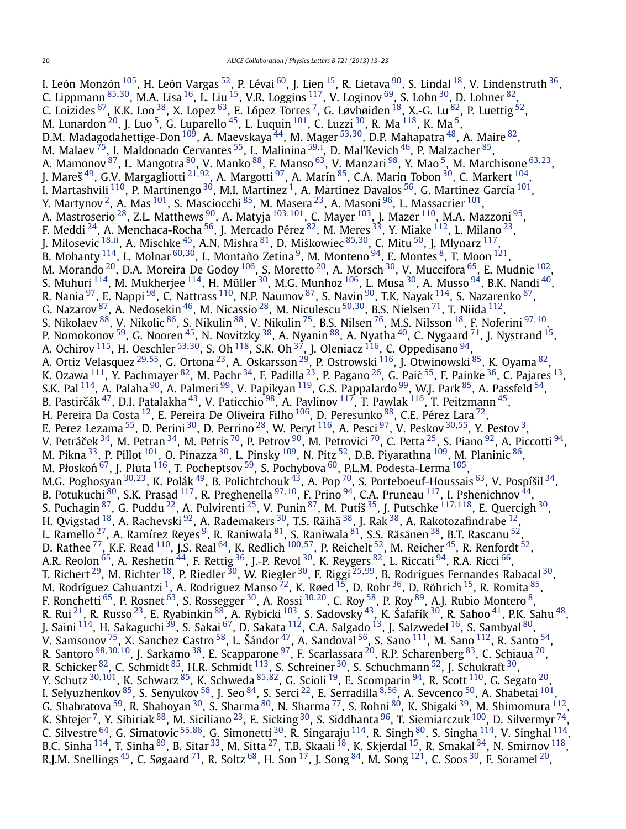I. León Monzón $^{105}$ , H. León Vargas $^{52}$ , P. Lévai $^{60}$ , J. Lien $^{15}$ , R. Lietava $^{90}$ , S. Lindal $^{18}$ , V. Lindenstruth $^{36}$ , C. Lippmann [85](#page-9-0)*,*[30,](#page-8-0) M.A. Lisa [16](#page-8-0), L. Liu [15,](#page-8-0) V.R. Loggins [117,](#page-9-0) V. Loginov [69,](#page-9-0) S. Lohn [30,](#page-8-0) D. Lohner [82,](#page-9-0) C. Loizides  $^{67}$ , K.K. Loo  $^{38}$ , X. Lopez  $^{63}$ , E. López Torres  $^7$ , G. Løvhøiden  $^{18}$ , X.-G. Lu  $^{82}$  $^{82}$  $^{82}$ , P. Luettig  $^{52}$ , M. Lunardon $^{20}$  $^{20}$  $^{20}$ , J. Luo $^5$ , G. Luparello $^{45}$ , L. Luquin $^{101}$ , C. Luzzi $^{30}$ , R. Ma $^{118}$ , K. Ma $^5\!$ D.M. Madagodahettige-Don <sup>[109](#page-9-0)</sup>, A. Maevskaya <sup>44</sup>, M. Mager <sup>[53](#page-9-0),30</sup>, D.P. Mahapatra <sup>48</sup>, A. Maire <sup>82</sup>, M. Malaev <sup>75</sup>, I. Maldonado Cervantes <sup>55</sup>, L. Malinina <sup>[59](#page-9-0),[i](#page-10-0)</sup>, D. Mal'Kevich <sup>46</sup>, P. Malzacher <sup>[85](#page-9-0)</sup>, A. Mamonov [87](#page-9-0), L. Mangotra [80,](#page-9-0) V. Manko [88,](#page-9-0) F. Manso [63,](#page-9-0) V. Manzari [98,](#page-9-0) Y. Mao [5,](#page-8-0) M. Marchisone [63](#page-9-0)*,*[23,](#page-8-0) J. Mareš [49,](#page-9-0) G.V. Margagliotti [21](#page-8-0)*,*[92,](#page-9-0) A. Margotti [97,](#page-9-0) A. Marín [85,](#page-9-0) C.A. Marin Tobon [30,](#page-8-0) C. Markert [104](#page-9-0), I. Martashvili  $^{110}$  $^{110}$  $^{110}$ , P. Martinengo  $^{30}$ , M.I. Martínez  $^1$ , A. Martínez Davalos  $^{56}$ , G. Martínez García  $^{101},$ Y. Martynov <sup>2</sup>, A. Mas <sup>101</sup>, S. Masciocchi <sup>85</sup>, M. Masera <sup>23</sup>, A. Masoni <sup>96</sup>, L. Massacrier <sup>101</sup>, A. Mastroserio [28,](#page-8-0) Z.L. Matthews [90,](#page-9-0) A. Matyja [103](#page-9-0)*,*[101,](#page-9-0) C. Mayer [103,](#page-9-0) J. Mazer [110](#page-9-0), M.A. Mazzoni [95,](#page-9-0) F. Meddi  $^{24}$ , A. Menchaca-Rocha  $^{56}$ , J. Mercado Pérez  $^{82}$ , M. Meres  $^{33}$ , Y. Miake  $^{112}$  $^{112}$  $^{112}$ , L. Milano  $^{23}$ , J. Milosevic <sup>[18](#page-8-0),ii</sup>, A. Mischke <sup>45</sup>, A.N. Mishra <sup>81</sup>, D. Miśkowiec <sup>[85](#page-9-0),[30](#page-8-0)</sup>, C. Mitu <sup>[50](#page-9-0)</sup>, J. Mlynarz <sup>117</sup>, B. Mohanty [114,](#page-9-0) L. Molnar [60](#page-9-0)*,*[30,](#page-8-0) L. Montaño Zetina [9](#page-8-0), M. Monteno [94,](#page-9-0) E. Montes [8,](#page-8-0) T. Moon [121,](#page-9-0) M. Morando  $^{20}$ , D.A. Moreira De Godoy  $^{106}$ , S. Moretto  $^{20}$ , A. Morsch  $^{30}$ , V. Muccifora  $^{65}$ , E. Mudnic  $^{102}$ , S. Muhuri  $^{114}$  $^{114}$  $^{114}$ , M. Mukherjee  $^{114}$ , H. Müller  $^{30}$ , M.G. Munhoz  $^{106}$ , L. Musa  $^{30}$ , A. Musso  $^{94}$  $^{94}$  $^{94}$ , B.K. Nandi  $^{40}$  $^{40}$  $^{40}$ , R. Nania  $^{97}$ , E. Nappi  $^{98}$ , C. Nattrass  $^{110}$  $^{110}$  $^{110}$ , N.P. Naumov  $^{87}$ , S. Navin  $^{90}$ , T.K. Nayak  $^{114}$ , S. Nazarenko  $^{87}$ , G. Nazarov [87,](#page-9-0) A. Nedosekin [46,](#page-9-0) M. Nicassio [28,](#page-8-0) M. Niculescu [50](#page-9-0)*,*[30,](#page-8-0) B.S. Nielsen [71,](#page-9-0) T. Niida [112,](#page-9-0) S. Nikolaev [88,](#page-9-0) V. Nikolic [86,](#page-9-0) S. Nikulin [88,](#page-9-0) V. Nikulin [75,](#page-9-0) B.S. Nilsen [76,](#page-9-0) M.S. Nilsson [18,](#page-8-0) F. Noferini [97](#page-9-0)*,*[10,](#page-8-0) P. Nomokonov  $^{59}$ , G. Nooren  $^{45}$ , N. Novitzky  $^{38}$ , A. Nyanin  $^{88}$ , A. Nyatha  $^{40}$ , C. Nygaard  $^{71}$ , J. Nystrand  $^{15}$ , A. Ochirov [115,](#page-9-0) H. Oeschler [53](#page-9-0)*,*[30,](#page-8-0) S. Oh [118,](#page-9-0) S.K. Oh [37,](#page-8-0) J. Oleniacz [116,](#page-9-0) C. Oppedisano [94,](#page-9-0) A. Ortiz Velasquez [29](#page-8-0)*,*[55,](#page-9-0) G. Ortona [23,](#page-8-0) A. Oskarsson [29](#page-8-0), P. Ostrowski [116,](#page-9-0) J. Otwinowski [85](#page-9-0), K. Oyama [82,](#page-9-0) K. Ozawa  $^{111}$ , Y. Pachmayer  $^{82}$ , M. Pachr  $^{34}$  $^{34}$  $^{34}$ , F. Padilla  $^{23}$ , P. Pagano  $^{26}$ , G. Paić  $^{55}$ , F. Painke  $^{36}$ , C. Pajares  $^{13}$ , S.K. Pal <sup>114</sup>, A. Palaha <sup>90</sup>, A. Palmeri <sup>[99](#page-9-0)</sup>, V. Papikyan <sup>119</sup>, G.S. Pappalardo <sup>99</sup>, W.J. Park <sup>85</sup>, A. Passfeld <sup>[54](#page-9-0)</sup>, B. Pastirčák $^{47}$  $^{47}$  $^{47}$ , D.I. Patalakha $^{43}$ , V. Paticchio $^{98}$ , A. Pavlinov  $^{117}$ , T. Pawlak  $^{116}$ , T. Peitzmann $^{45}$ , H. Pereira Da Costa $^{\,12}$ , E. Pereira De Oliveira Filho $^{\,106}$ , D. Peresunko $^{\,88}$ , C.E. Pérez Lara $^{\,72}$  $^{\,72}$  $^{\,72}$ , E. Perez Lezama [55,](#page-9-0) D. Perini [30,](#page-8-0) D. Perrino [28,](#page-8-0) W. Peryt [116,](#page-9-0) A. Pesci [97,](#page-9-0) V. Peskov [30](#page-8-0)*,*[55,](#page-9-0) Y. Pestov [3,](#page-8-0) V. Petráček $^{34}$ , M. Petran $^{34}$ , M. Petris $^{70}$ , P. Petrov  $^{90}$ , M. Petrovici  $^{70}$ , C. Petta  $^{25}$ , S. Piano  $^{92}$ , A. Piccotti  $^{94}$ , M. Pikna $^{33}$ , P. Pillot  $^{101}$ , O. Pinazza $^{30}$ , L. Pinsky  $^{109}$ , N. Pitz  $^{52}$ , D.B. Piyarathna  $^{109}$ , M. Planinic  $^{86}$ , M. Płoskoń  $^{67}$ , J. Pluta  $^{116}$ , T. Pocheptsov  $^{59}$ , S. Pochybova  $^{60}$ , P.L.M. Podesta-Lerma  $^{105}$ , M.G. Poghosyan [30](#page-8-0)*,*[23,](#page-8-0) K. Polák [49,](#page-9-0) B. Polichtchouk [43,](#page-8-0) A. Pop [70,](#page-9-0) S. Porteboeuf-Houssais [63,](#page-9-0) V. Pospíšil [34,](#page-8-0) B. Potukuchi <sup>80</sup>, S.K. Prasad <sup>117</sup>, R. Preghenella <sup>[97](#page-9-0),10</sup>, F. Prino <sup>[94](#page-9-0)</sup>, C.A. Pruneau <sup>117</sup>, I. Pshenichnov <sup>44</sup>, S. Puchagin [87,](#page-9-0) G. Puddu [22,](#page-8-0) A. Pulvirenti [25,](#page-8-0) V. Punin [87,](#page-9-0) M. Putiš [35,](#page-8-0) J. Putschke [117](#page-9-0)*,*[118,](#page-9-0) E. Quercigh [30,](#page-8-0) H. Qvigstad  $^{18}$ , A. Rachevski  $^{92}$ , A. Rademakers  $^{30}$ , T.S. Räihä  $^{38}$ , J. Rak  $^{38}$ , A. Rakotozafindrabe  $^{12}$ , L. Ramello <sup>27</sup>, A. Ramírez Reyes <sup>[9](#page-8-0)</sup>, R. Raniwala <sup>[81](#page-9-0)</sup>, S. Raniwala <sup>81</sup>, S.S. Räsänen <sup>38</sup>, B.T. Rascanu <sup>52</sup>, D. Rathee [77,](#page-9-0) K.F. Read [110,](#page-9-0) J.S. Real [64,](#page-9-0) K. Redlich [100](#page-9-0)*,*[57,](#page-9-0) P. Reichelt [52,](#page-9-0) M. Reicher [45,](#page-9-0) R. Renfordt [52,](#page-9-0) A.R. Reolon  $^{65}$ , A. Reshetin  $^{44}$ , F. Rettig  $^{36}$ , J.-P. Revol  $^{30}$ , K. Reygers  $^{82}$ , L. Riccati  $^{94}$ , R.A. Ricci  $^{66},$ T. Richert [29,](#page-8-0) M. Richter [18,](#page-8-0) P. Riedler [30,](#page-8-0) W. Riegler [30,](#page-8-0) F. Riggi [25](#page-8-0)*,*[99,](#page-9-0) B. Rodrigues Fernandes Rabacal [30,](#page-8-0) M. Rodríguez Cahuantzi  $^1$ , A. Rodriguez Manso  $^{72}$ , K. Røed  $^{15}$  $^{15}$  $^{15}$ , D. Rohr  $^{36}$  $^{36}$  $^{36}$ , D. Röhrich  $^{15}$ , R. Romita  $^{85}$ , F. Ronchetti [65](#page-9-0), P. Rosnet [63,](#page-9-0) S. Rossegger [30,](#page-8-0) A. Rossi [30](#page-8-0)*,*[20,](#page-8-0) C. Roy [58,](#page-9-0) P. Roy [89](#page-9-0), A.J. Rubio Montero [8,](#page-8-0) R. Rui  $^{21}$ , R. Russo  $^{23}$ , E. Ryabinkin  $^{88}$ , A. Rybicki  $^{103}$ , S. Sadovsky  $^{43}$ , K. Šafařík  $^{30}$ , R. Sahoo  $^{41}$ , P.K. Sahu  $^{48}$ , J. Saini <sup>114</sup>, H. Sakaguchi <sup>39</sup>, S. Sakai <sup>67</sup>, D. Sakata <sup>112</sup>, C.A. Salgado <sup>13</sup>, J. Salzwedel <sup>16</sup>, S. Sambyal <sup>80</sup>, V. Samsonov  $^{75}$ , X. Sanchez Castro  $^{58}$ , L. Šándor  $^{47}$ , A. Sandoval  $^{56}$ , S. Sano  $^{111}$ , M. Sano  $^{112}$ , R. Santo  $^{54}$ , R. Santoro [98](#page-9-0)*,*[30](#page-8-0)*,*[10,](#page-8-0) J. Sarkamo [38,](#page-8-0) E. Scapparone [97,](#page-9-0) F. Scarlassara [20,](#page-8-0) R.P. Scharenberg [83,](#page-9-0) C. Schiaua [70,](#page-9-0) R. Schicker <sup>82</sup>, C. Schmidt <sup>85</sup>, H.R. Schmidt <sup>113</sup>, S. Schreiner <sup>30</sup>, S. Schuchmann <sup>52</sup>, J. Schukraft <sup>30</sup>, Y. Schutz [30](#page-8-0)*,*[101,](#page-9-0) K. Schwarz [85,](#page-9-0) K. Schweda [85](#page-9-0)*,*[82,](#page-9-0) G. Scioli [19,](#page-8-0) E. Scomparin [94,](#page-9-0) R. Scott [110,](#page-9-0) G. Segato [20,](#page-8-0) I. Selyuzhenkov [85,](#page-9-0) S. Senyukov [58,](#page-9-0) J. Seo [84,](#page-9-0) S. Serci [22](#page-8-0), E. Serradilla [8](#page-8-0)*,*[56,](#page-9-0) A. Sevcenco [50,](#page-9-0) A. Shabetai [101,](#page-9-0) G. Shabratova <sup>59</sup>, R. Shahoyan <sup>30</sup>, S. Sharma <sup>80</sup>, N. Sharma <sup>[77](#page-9-0)</sup>, S. Rohni <sup>80</sup>, K. Shigaki <sup>39</sup>, M. Shimomura <sup>112</sup>, K. Shtejer  $^7$ , Y. Sibiriak  $^{88}$ , M. Siciliano  $^{23}$ , E. Sicking  $^{30}$ , S. Siddhanta  $^{96}$ , T. Siemiarczuk  $^{100}$ , D. Silvermyr  $^{74}$ , C. Silvestre [64,](#page-9-0) G. Simatovic [55](#page-9-0)*,*[86,](#page-9-0) G. Simonetti [30,](#page-8-0) R. Singaraju [114,](#page-9-0) R. Singh [80,](#page-9-0) S. Singha [114,](#page-9-0) V. Singhal [114](#page-9-0), B.C. Sinha  $^{114}$ , T. Sinha  $^{89}$ , B. Sitar  $^{33}$ , M. Sitta  $^{27}$ , T.B. Skaali  $^{18}$ , K. Skjerdal  $^{15}$ , R. Smakal  $^{34}$ , N. Smirnov  $^{118}$ , R.J.M. Snellings  $^{45}$ , C. Søgaard  $^{71}$ , R. Soltz  $^{68}$ , H. Son  $^{17}$ , J. Song  $^{84}$ , M. Song  $^{121}$ , C. Soos  $^{30}$ , F. Soramel  $^{20}$ ,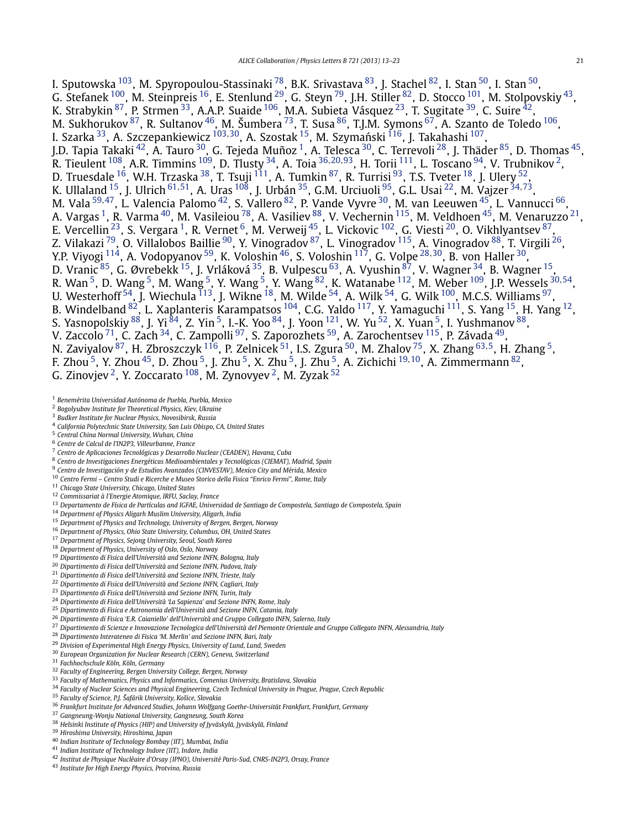<span id="page-8-0"></span>I. Sputowska <sup>103</sup>, M. Spyropoulou-Stassinaki <sup>78</sup>, B.K. Srivastava <sup>83</sup>, J. Stachel <sup>82</sup>, I. Stan <sup>50</sup>, I. Stan <sup>50</sup>, G. Stefanek  $^{100}$  $^{100}$  $^{100}$ , M. Steinpreis  $^{16}$ , E. Stenlund  $^{29}$ , G. Steyn  $^{79}$ , J.H. Stiller  $^{82}$  $^{82}$  $^{82}$ , D. Stocco  $^{101}$ , M. Stolpovskiy  $^{43}$ , K. Strabykin <sup>87</sup>, P. Strmen <sup>33</sup>, A.A.P. Suaide <sup>106</sup>, M.A. Subieta Vásquez <sup>23</sup>, T. Sugitate <sup>39</sup>, C. Suire <sup>42</sup>, M. Sukhorukov $^{87}$ , R. Sultanov $^{46}$ , M. Šumbera $^{73}$ , T. Susa $^{86}$ , T.J.M. Symons $^{67}$ , A. Szanto de Toledo  $^{106}$ , I. Szarka <sup>33</sup>, A. Szczepankiewicz <sup>[103](#page-9-0),30</sup>, A. Szostak <sup>15</sup>, M. Szymański <sup>116</sup>, J. Takahashi <sup>107</sup>, J.D. Tapia Takaki <sup>42</sup>, A. Tauro <sup>30</sup>, G. Tejeda Muñoz <sup>1</sup>, A. Telesca <sup>30</sup>, C. Terrevoli <sup>28</sup>, J. Thäder <sup>[85](#page-9-0)</sup>, D. Thomas <sup>45</sup>, R. Tieulent [108,](#page-9-0) A.R. Timmins [109,](#page-9-0) D. Tlusty 34, A. Toia <sup>36</sup>*,*20*,*[93,](#page-9-0) H. Torii [111,](#page-9-0) L. Toscano [94,](#page-9-0) V. Trubnikov 2, D. Truesdale  $^{16}$ , W.H. Trzaska  $^{38}$ , T. Tsuji  $^{111}$ , A. Tumkin  $^{87}$ , R. Turrisi  $^{93}$ , T.S. Tveter  $^{18}$ , J. Ulery  $^{52}$ , K. Ullaland 15, J. Ulrich [61](#page-9-0)*,*[51,](#page-9-0) A. Uras [108,](#page-9-0) J. Urbán 35, G.M. Urciuoli [95,](#page-9-0) G.L. Usai 22, M. Vajzer <sup>34</sup>*,*[73,](#page-9-0) M. Vala [59](#page-9-0)*,*[47,](#page-9-0) L. Valencia Palomo 42, S. Vallero [82,](#page-9-0) P. Vande Vyvre 30, M. van Leeuwen [45,](#page-9-0) L. Vannucci [66,](#page-9-0) A. Vargas  $^1$ , R. Varma  $^{40}$ , M. Vasileiou  $^{78}$ , A. Vasiliev  $^{88}$ , V. Vechernin  $^{115}$ , M. Veldhoen  $^{45}$ , M. Venaruzzo  $^{21}$ , E. Vercellin $^{23}$ , S. Vergara  $^1$ , R. Vernet  $^6$ , M. Verweij  $^{45}$ , L. Vickovic  $^{102}$ , G. Viesti  $^{20}$ , O. Vikhlyantsev  $^{87},$  $^{87},$  $^{87},$ Z. Vilakazi <sup>79</sup>, O. Villalobos Baillie <sup>90</sup>, Y. Vinogradov <sup>87</sup>, L. Vinogradov <sup>115</sup>, A. Vinogradov <sup>88</sup>, T. Virgili <sup>26</sup>, Y.P. Viyogi [114,](#page-9-0) A. Vodopyanov [59,](#page-9-0) K. Voloshin [46,](#page-9-0) S. Voloshin [117,](#page-9-0) G. Volpe <sup>28</sup>*,*30, B. von Haller 30, D. Vranic <sup>85</sup>, G. Øvrebekk <sup>15</sup>, J. Vrláková <sup>35</sup>, B. Vulpescu <sup>63</sup>, A. Vyushin <sup>87</sup>, V. Wagner <sup>34</sup>, B. Wagner <sup>15</sup>, R. Wan 5, D. Wang 5, M. Wang 5, Y. Wang 5, Y. Wang [82,](#page-9-0) K. Watanabe [112,](#page-9-0) M. Weber [109,](#page-9-0) J.P. Wessels <sup>30</sup>*,*[54,](#page-9-0) U. Westerhoff  $^{54}$ , J. Wiechula  $^{113}$ , J. Wikne  $^{18}$ , M. Wilde  $^{54}$ , A. Wilk  $^{54}$ , G. Wilk  $^{100}$ , M.C.S. Williams  $^{97}$ , B. Windelband  $^{82}$ , L. Xaplanteris Karampatsos  $^{104}$ , C.G. Yaldo  $^{117}$  $^{117}$  $^{117}$ , Y. Yamaguchi  $^{111}$ , S. Yang  $^{15}$ , H. Yang  $^{12}$ , S. Yasnopolskiy  $^{88}$ , J. Yi  $^{84}$ , Z. Yin  $^5$ , I.-K. Yoo  $^{84}$ , J. Yoon  $^{121}$ , W. Yu  $^{52}$ , X. Yuan  $^5$ , I. Yushmanov  $^{88}$ , V. Zaccolo <sup>71</sup>, C. Zach <sup>34</sup>, C. Zampolli <sup>97</sup>, S. Zaporozhets <sup>[59](#page-9-0)</sup>, A. Zarochentsev <sup>[115](#page-9-0)</sup>, P. Závada <sup>49</sup>, N. Zaviyalov [87,](#page-9-0) H. Zbroszczyk [116,](#page-9-0) P. Zelnicek [51,](#page-9-0) I.S. Zgura [50,](#page-9-0) M. Zhalov [75,](#page-9-0) X. Zhang [63](#page-9-0)*,*5, H. Zhang 5, F. Zhou 5, Y. Zhou [45,](#page-9-0) D. Zhou 5, J. Zhu 5, X. Zhu 5, J. Zhu 5, A. Zichichi <sup>19</sup>*,*10, A. Zimmermann [82,](#page-9-0)

- G. Zinovjev  $^2$ , Y. Zoccarato  $^{108}$ , M. Zynovyev  $^2$ , M. Zyzak  $^{52}$  $^{52}$  $^{52}$
- *Benemérita Universidad Autónoma de Puebla, Puebla, Mexico*
- *Bogolyubov Institute for Theoretical Physics, Kiev, Ukraine*
- *Budker Institute for Nuclear Physics, Novosibirsk, Russia*
- *California Polytechnic State University, San Luis Obispo, CA, United States*
- *Central China Normal University, Wuhan, China*
- *Centre de Calcul de l'IN2P3, Villeurbanne, France*
- *Centro de Aplicaciones Tecnológicas y Desarrollo Nuclear (CEADEN), Havana, Cuba*
- *Centro de Investigaciones Energéticas Medioambientales y Tecnológicas (CIEMAT), Madrid, Spain*
- *Centro de Investigación y de Estudios Avanzados (CINVESTAV), Mexico City and Mérida, Mexico*
- *Centro Fermi Centro Studi e Ricerche e Museo Storico della Fisica "Enrico Fermi", Rome, Italy*
- *Chicago State University, Chicago, United States*
- *Commissariat à l'Energie Atomique, IRFU, Saclay, France*
- *Departamento de Física de Partículas and IGFAE, Universidad de Santiago de Compostela, Santiago de Compostela, Spain*
- *Department of Physics Aligarh Muslim University, Aligarh, India*
- *Department of Physics and Technology, University of Bergen, Bergen, Norway*
- *Department of Physics, Ohio State University, Columbus, OH, United States*
- *Department of Physics, Sejong University, Seoul, South Korea*
- *Department of Physics, University of Oslo, Oslo, Norway*
- *Dipartimento di Fisica dell'Università and Sezione INFN, Bologna, Italy*
- *Dipartimento di Fisica dell'Università and Sezione INFN, Padova, Italy*
- *Dipartimento di Fisica dell'Università and Sezione INFN, Trieste, Italy*
- *Dipartimento di Fisica dell'Università and Sezione INFN, Cagliari, Italy*
- *Dipartimento di Fisica dell'Università and Sezione INFN, Turin, Italy*
- *Dipartimento di Fisica dell'Università 'La Sapienza' and Sezione INFN, Rome, Italy*
- *Dipartimento di Fisica e Astronomia dell'Università and Sezione INFN, Catania, Italy*
- *Dipartimento di Fisica 'E.R. Caianiello' dell'Università and Gruppo Collegato INFN, Salerno, Italy*
- *Dipartimento di Scienze e Innovazione Tecnologica dell'Università del Piemonte Orientale and Gruppo Collegato INFN, Alessandria, Italy*
- *Dipartimento Interateneo di Fisica 'M. Merlin' and Sezione INFN, Bari, Italy*
- *Division of Experimental High Energy Physics, University of Lund, Lund, Sweden*
- *European Organization for Nuclear Research (CERN), Geneva, Switzerland*
- *Fachhochschule Köln, Köln, Germany*
- *Faculty of Engineering, Bergen University College, Bergen, Norway*
- *Faculty of Mathematics, Physics and Informatics, Comenius University, Bratislava, Slovakia*
- *Faculty of Nuclear Sciences and Physical Engineering, Czech Technical University in Prague, Prague, Czech Republic*
- *Faculty of Science, P.J. Šafárik University, Košice, Slovakia*
- *Frankfurt Institute for Advanced Studies, Johann Wolfgang Goethe-Universität Frankfurt, Frankfurt, Germany*
- *Gangneung-Wonju National University, Gangneung, South Korea*
- *Helsinki Institute of Physics (HIP) and University of Jyväskylä, Jyväskylä, Finland*
- *Hiroshima University, Hiroshima, Japan*
- *Indian Institute of Technology Bombay (IIT), Mumbai, India*
- *Indian Institute of Technology Indore (IIT), Indore, India*
- *Institut de Physique Nucléaire d'Orsay (IPNO), Université Paris-Sud, CNRS-IN2P3, Orsay, France*
- *Institute for High Energy Physics, Protvino, Russia*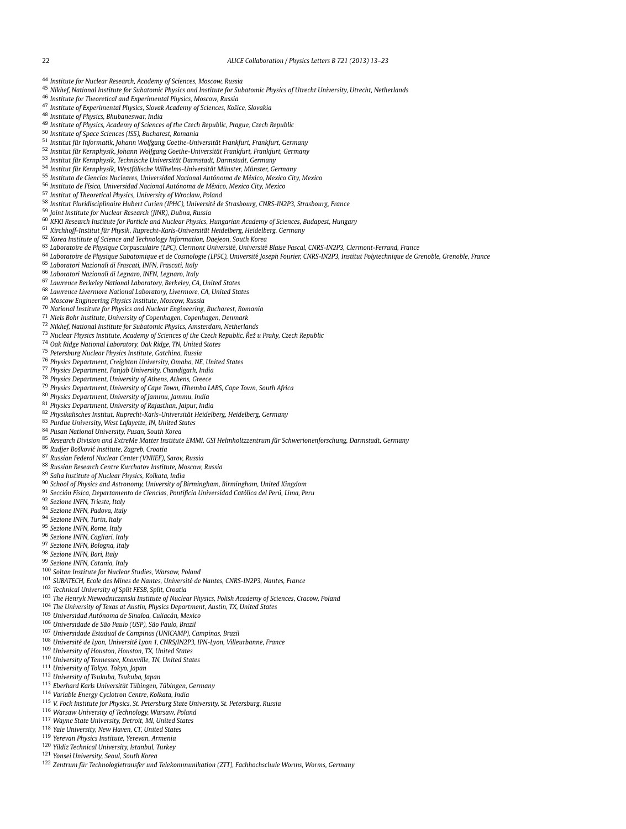- <span id="page-9-0"></span>*Institute for Nuclear Research, Academy of Sciences, Moscow, Russia*
- *Nikhef, National Institute for Subatomic Physics and Institute for Subatomic Physics of Utrecht University, Utrecht, Netherlands*
- *Institute for Theoretical and Experimental Physics, Moscow, Russia*
- *Institute of Experimental Physics, Slovak Academy of Sciences, Košice, Slovakia*
- *Institute of Physics, Bhubaneswar, India*
- *Institute of Physics, Academy of Sciences of the Czech Republic, Prague, Czech Republic*
- *Institute of Space Sciences (ISS), Bucharest, Romania*
- *Institut für Informatik, Johann Wolfgang Goethe-Universität Frankfurt, Frankfurt, Germany*
- *Institut für Kernphysik, Johann Wolfgang Goethe-Universität Frankfurt, Frankfurt, Germany*
- *Institut für Kernphysik, Technische Universität Darmstadt, Darmstadt, Germany*
- *Institut für Kernphysik, Westfälische Wilhelms-Universität Münster, Münster, Germany*
- *Instituto de Ciencias Nucleares, Universidad Nacional Autónoma de México, Mexico City, Mexico*
- *Instituto de Física, Universidad Nacional Autónoma de México, Mexico City, Mexico*
- *Institut of Theoretical Physics, University of Wroclaw, Poland*
- *Institut Pluridisciplinaire Hubert Curien (IPHC), Université de Strasbourg, CNRS-IN2P3, Strasbourg, France*
- *Joint Institute for Nuclear Research (JINR), Dubna, Russia*
- *KFKI Research Institute for Particle and Nuclear Physics, Hungarian Academy of Sciences, Budapest, Hungary*
- *Kirchhoff-Institut für Physik, Ruprecht-Karls-Universität Heidelberg, Heidelberg, Germany*
- *Korea Institute of Science and Technology Information, Daejeon, South Korea*
- *Laboratoire de Physique Corpusculaire (LPC), Clermont Université, Université Blaise Pascal, CNRS-IN2P3, Clermont-Ferrand, France*
- *Laboratoire de Physique Subatomique et de Cosmologie (LPSC), Université Joseph Fourier, CNRS-IN2P3, Institut Polytechnique de Grenoble, Grenoble, France*
- *Laboratori Nazionali di Frascati, INFN, Frascati, Italy*
- *Laboratori Nazionali di Legnaro, INFN, Legnaro, Italy*
- *Lawrence Berkeley National Laboratory, Berkeley, CA, United States*
- *Lawrence Livermore National Laboratory, Livermore, CA, United States*
- *Moscow Engineering Physics Institute, Moscow, Russia*
- *National Institute for Physics and Nuclear Engineering, Bucharest, Romania*
- *Niels Bohr Institute, University of Copenhagen, Copenhagen, Denmark*
- *Nikhef, National Institute for Subatomic Physics, Amsterdam, Netherlands*
- *Nuclear Physics Institute, Academy of Sciences of the Czech Republic, Rež u Prahy, Czech Republic ˇ*
- *Oak Ridge National Laboratory, Oak Ridge, TN, United States*
- *Petersburg Nuclear Physics Institute, Gatchina, Russia*
- *Physics Department, Creighton University, Omaha, NE, United States*
- *Physics Department, Panjab University, Chandigarh, India*
- *Physics Department, University of Athens, Athens, Greece*
- *Physics Department, University of Cape Town, iThemba LABS, Cape Town, South Africa*
- *Physics Department, University of Jammu, Jammu, India*
- *Physics Department, University of Rajasthan, Jaipur, India*
- *Physikalisches Institut, Ruprecht-Karls-Universität Heidelberg, Heidelberg, Germany*
- *Purdue University, West Lafayette, IN, United States*
- *Pusan National University, Pusan, South Korea*
- *Research Division and ExtreMe Matter Institute EMMI, GSI Helmholtzzentrum für Schwerionenforschung, Darmstadt, Germany*
- *Rudjer Boškovi´c Institute, Zagreb, Croatia*
- *Russian Federal Nuclear Center (VNIIEF), Sarov, Russia*
- *Russian Research Centre Kurchatov Institute, Moscow, Russia*
- *Saha Institute of Nuclear Physics, Kolkata, India*
- *School of Physics and Astronomy, University of Birmingham, Birmingham, United Kingdom*
- *Sección Física, Departamento de Ciencias, Pontificia Universidad Católica del Perú, Lima, Peru*
- *Sezione INFN, Trieste, Italy*
- *Sezione INFN, Padova, Italy*
- *Sezione INFN, Turin, Italy*
- *Sezione INFN, Rome, Italy*
- *Sezione INFN, Cagliari, Italy*
- *Sezione INFN, Bologna, Italy*
- *Sezione INFN, Bari, Italy*
- *Sezione INFN, Catania, Italy*
- *Soltan Institute for Nuclear Studies, Warsaw, Poland*
- *SUBATECH, Ecole des Mines de Nantes, Université de Nantes, CNRS-IN2P3, Nantes, France*
- *Technical University of Split FESB, Split, Croatia*
- *The Henryk Niewodniczanski Institute of Nuclear Physics, Polish Academy of Sciences, Cracow, Poland*
- *The University of Texas at Austin, Physics Department, Austin, TX, United States*
- *Universidad Autónoma de Sinaloa, Culiacán, Mexico*
- *Universidade de São Paulo (USP), São Paulo, Brazil*
- *Universidade Estadual de Campinas (UNICAMP), Campinas, Brazil*
- *Université de Lyon, Université Lyon 1, CNRS/IN2P3, IPN-Lyon, Villeurbanne, France*
- *University of Houston, Houston, TX, United States*
- *University of Tennessee, Knoxville, TN, United States*
- *University of Tokyo, Tokyo, Japan*
- *University of Tsukuba, Tsukuba, Japan*
- *Eberhard Karls Universität Tübingen, Tübingen, Germany*
- *Variable Energy Cyclotron Centre, Kolkata, India*
- *V. Fock Institute for Physics, St. Petersburg State University, St. Petersburg, Russia*
- *Warsaw University of Technology, Warsaw, Poland*
- *Wayne State University, Detroit, MI, United States*
- *Yale University, New Haven, CT, United States*
- *Yerevan Physics Institute, Yerevan, Armenia*
- *Yildiz Technical University, Istanbul, Turkey*
- *Yonsei University, Seoul, South Korea*
- *Zentrum für Technologietransfer und Telekommunikation (ZTT), Fachhochschule Worms, Worms, Germany*